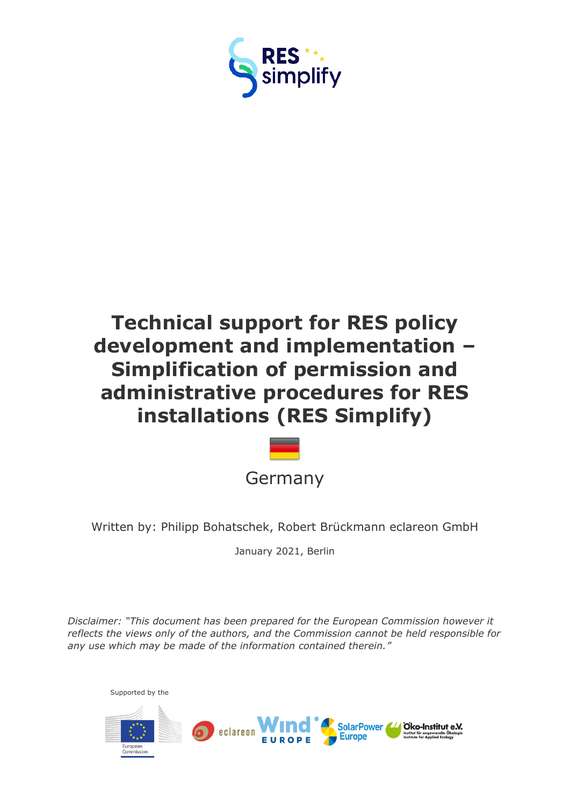

# **Technical support for RES policy development and implementation – Simplification of permission and administrative procedures for RES installations (RES Simplify)**



Written by: Philipp Bohatschek, Robert Brückmann eclareon GmbH

January 2021, Berlin

*Disclaimer: "This document has been prepared for the European Commission however it reflects the views only of the authors, and the Commission cannot be held responsible for any use which may be made of the information contained therein."*

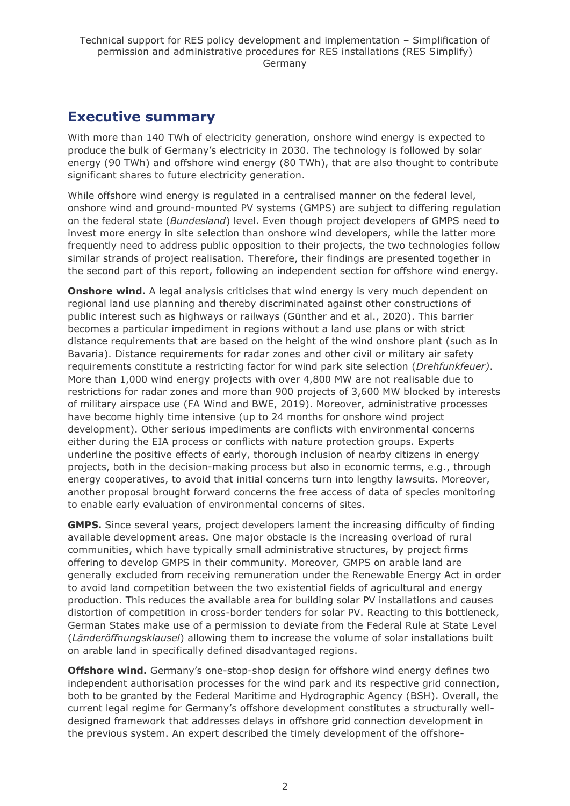# <span id="page-1-0"></span>**Executive summary**

With more than 140 TWh of electricity generation, onshore wind energy is expected to produce the bulk of Germany's electricity in 2030. The technology is followed by solar energy (90 TWh) and offshore wind energy (80 TWh), that are also thought to contribute significant shares to future electricity generation.

While offshore wind energy is regulated in a centralised manner on the federal level, onshore wind and ground-mounted PV systems (GMPS) are subject to differing regulation on the federal state (*Bundesland*) level. Even though project developers of GMPS need to invest more energy in site selection than onshore wind developers, while the latter more frequently need to address public opposition to their projects, the two technologies follow similar strands of project realisation. Therefore, their findings are presented together in the second part of this report, following an independent section for offshore wind energy.

**Onshore wind.** A legal analysis criticises that wind energy is very much dependent on regional land use planning and thereby discriminated against other constructions of public interest such as highways or railways (Günther and et al., 2020). This barrier becomes a particular impediment in regions without a land use plans or with strict distance requirements that are based on the height of the wind onshore plant (such as in Bavaria). Distance requirements for radar zones and other civil or military air safety requirements constitute a restricting factor for wind park site selection (*Drehfunkfeuer)*. More than 1,000 wind energy projects with over 4,800 MW are not realisable due to restrictions for radar zones and more than 900 projects of 3,600 MW blocked by interests of military airspace use (FA Wind and BWE, 2019). Moreover, administrative processes have become highly time intensive (up to 24 months for onshore wind project development). Other serious impediments are conflicts with environmental concerns either during the EIA process or conflicts with nature protection groups. Experts underline the positive effects of early, thorough inclusion of nearby citizens in energy projects, both in the decision-making process but also in economic terms, e.g., through energy cooperatives, to avoid that initial concerns turn into lengthy lawsuits. Moreover, another proposal brought forward concerns the free access of data of species monitoring to enable early evaluation of environmental concerns of sites.

**GMPS.** Since several years, project developers lament the increasing difficulty of finding available development areas. One major obstacle is the increasing overload of rural communities, which have typically small administrative structures, by project firms offering to develop GMPS in their community. Moreover, GMPS on arable land are generally excluded from receiving remuneration under the Renewable Energy Act in order to avoid land competition between the two existential fields of agricultural and energy production. This reduces the available area for building solar PV installations and causes distortion of competition in cross-border tenders for solar PV. Reacting to this bottleneck, German States make use of a permission to deviate from the Federal Rule at State Level (*Länderöffnungsklausel*) allowing them to increase the volume of solar installations built on arable land in specifically defined disadvantaged regions.

**Offshore wind.** Germany's one-stop-shop design for offshore wind energy defines two independent authorisation processes for the wind park and its respective grid connection, both to be granted by the Federal Maritime and Hydrographic Agency (BSH). Overall, the current legal regime for Germany's offshore development constitutes a structurally welldesigned framework that addresses delays in offshore grid connection development in the previous system. An expert described the timely development of the offshore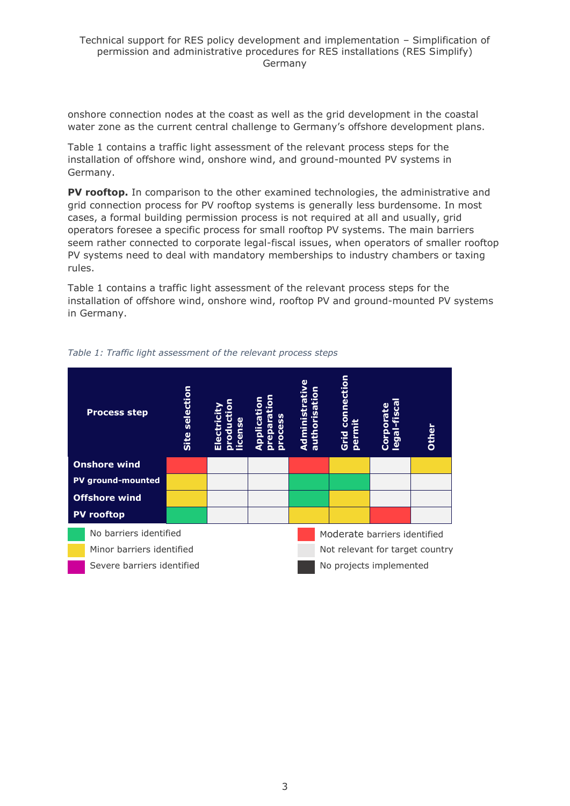onshore connection nodes at the coast as well as the grid development in the coastal water zone as the current central challenge to Germany's offshore development plans.

Table 1 contains a traffic light assessment of the relevant process steps for the installation of offshore wind, onshore wind, and ground-mounted PV systems in Germany.

**PV rooftop.** In comparison to the other examined technologies, the administrative and grid connection process for PV rooftop systems is generally less burdensome. In most cases, a formal building permission process is not required at all and usually, grid operators foresee a specific process for small rooftop PV systems. The main barriers seem rather connected to corporate legal-fiscal issues, when operators of smaller rooftop PV systems need to deal with mandatory memberships to industry chambers or taxing rules.

Table 1 contains a traffic light assessment of the relevant process steps for the installation of offshore wind, onshore wind, rooftop PV and ground-mounted PV systems in Germany.



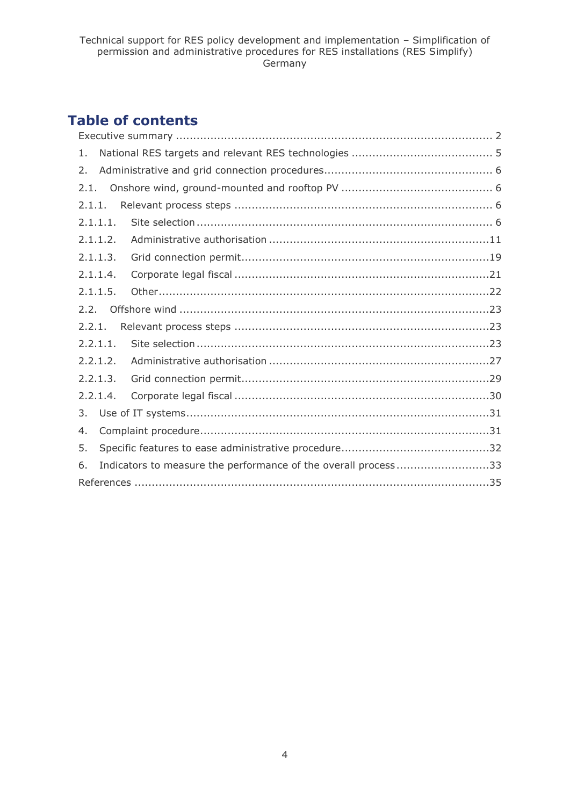# **Table of contents**

| 1.       |  |                                                                |  |  |
|----------|--|----------------------------------------------------------------|--|--|
| 2.       |  |                                                                |  |  |
| 2.1.     |  |                                                                |  |  |
| 2.1.1.   |  |                                                                |  |  |
| 2.1.1.1. |  |                                                                |  |  |
| 2.1.1.2. |  |                                                                |  |  |
| 2.1.1.3. |  |                                                                |  |  |
| 2.1.1.4. |  |                                                                |  |  |
| 2.1.1.5. |  |                                                                |  |  |
| 2.2.     |  |                                                                |  |  |
| 2.2.1.   |  |                                                                |  |  |
| 2.2.1.1. |  |                                                                |  |  |
| 2.2.1.2. |  |                                                                |  |  |
| 2.2.1.3. |  |                                                                |  |  |
| 2.2.1.4. |  |                                                                |  |  |
| 3.       |  |                                                                |  |  |
| 4.       |  |                                                                |  |  |
| 5.       |  |                                                                |  |  |
| 6.       |  | Indicators to measure the performance of the overall process33 |  |  |
|          |  |                                                                |  |  |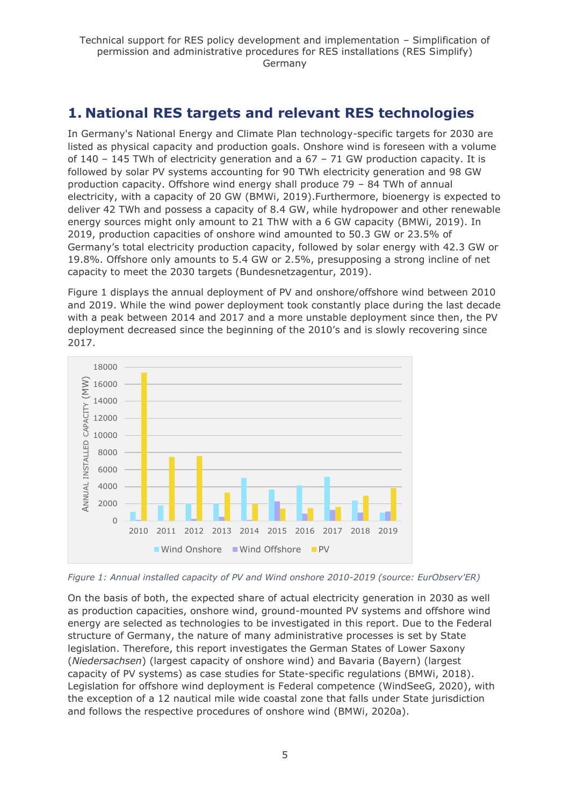# <span id="page-4-0"></span>**1. National RES targets and relevant RES technologies**

In Germany's National Energy and Climate Plan technology-specific targets for 2030 are listed as physical capacity and production goals. Onshore wind is foreseen with a volume of 140 – 145 TWh of electricity generation and a 67 – 71 GW production capacity. It is followed by solar PV systems accounting for 90 TWh electricity generation and 98 GW production capacity. Offshore wind energy shall produce 79 – 84 TWh of annual electricity, with a capacity of 20 GW (BMWi, 2019).Furthermore, bioenergy is expected to deliver 42 TWh and possess a capacity of 8.4 GW, while hydropower and other renewable energy sources might only amount to 21 ThW with a 6 GW capacity (BMWi, 2019). In 2019, production capacities of onshore wind amounted to 50.3 GW or 23.5% of Germany's total electricity production capacity, followed by solar energy with 42.3 GW or 19.8%. Offshore only amounts to 5.4 GW or 2.5%, presupposing a strong incline of net capacity to meet the 2030 targets (Bundesnetzagentur, 2019).

Figure 1 displays the annual deployment of PV and onshore/offshore wind between 2010 and 2019. While the wind power deployment took constantly place during the last decade with a peak between 2014 and 2017 and a more unstable deployment since then, the PV deployment decreased since the beginning of the 2010's and is slowly recovering since 2017.



*Figure 1: Annual installed capacity of PV and Wind onshore 2010-2019 (source: EurObserv'ER)*

On the basis of both, the expected share of actual electricity generation in 2030 as well as production capacities, onshore wind, ground-mounted PV systems and offshore wind energy are selected as technologies to be investigated in this report. Due to the Federal structure of Germany, the nature of many administrative processes is set by State legislation. Therefore, this report investigates the German States of Lower Saxony (*Niedersachsen*) (largest capacity of onshore wind) and Bavaria (Bayern) (largest capacity of PV systems) as case studies for State-specific regulations (BMWi, 2018). Legislation for offshore wind deployment is Federal competence (WindSeeG, 2020), with the exception of a 12 nautical mile wide coastal zone that falls under State jurisdiction and follows the respective procedures of onshore wind (BMWi, 2020a).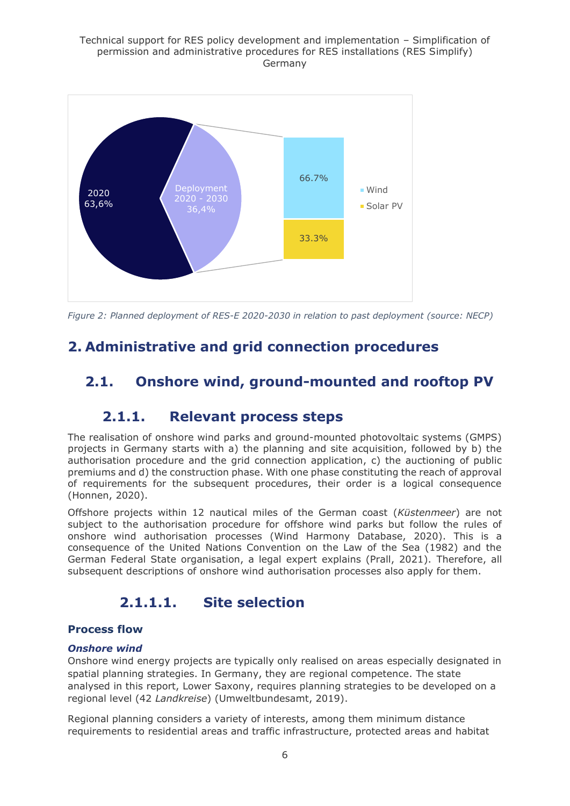#### Technical support for RES policy development and implementation – Simplification of permission and administrative procedures for RES installations (RES Simplify) Germany



*Figure 2: Planned deployment of RES-E 2020-2030 in relation to past deployment (source: NECP)*

# <span id="page-5-0"></span>**2. Administrative and grid connection procedures**

# <span id="page-5-2"></span><span id="page-5-1"></span>**2.1. Onshore wind, ground-mounted and rooftop PV**

### **2.1.1. Relevant process steps**

The realisation of onshore wind parks and ground-mounted photovoltaic systems (GMPS) projects in Germany starts with a) the planning and site acquisition, followed by b) the authorisation procedure and the grid connection application, c) the auctioning of public premiums and d) the construction phase. With one phase constituting the reach of approval of requirements for the subsequent procedures, their order is a logical consequence (Honnen, 2020).

Offshore projects within 12 nautical miles of the German coast (*Küstenmeer*) are not subject to the authorisation procedure for offshore wind parks but follow the rules of onshore wind authorisation processes (Wind Harmony Database, 2020). This is a consequence of the United Nations Convention on the Law of the Sea (1982) and the German Federal State organisation, a legal expert explains (Prall, 2021). Therefore, all subsequent descriptions of onshore wind authorisation processes also apply for them.

# **2.1.1.1. Site selection**

### <span id="page-5-3"></span>**Process flow**

#### *Onshore wind*

Onshore wind energy projects are typically only realised on areas especially designated in spatial planning strategies. In Germany, they are regional competence. The state analysed in this report, Lower Saxony, requires planning strategies to be developed on a regional level (42 *Landkreise*) (Umweltbundesamt, 2019).

Regional planning considers a variety of interests, among them minimum distance requirements to residential areas and traffic infrastructure, protected areas and habitat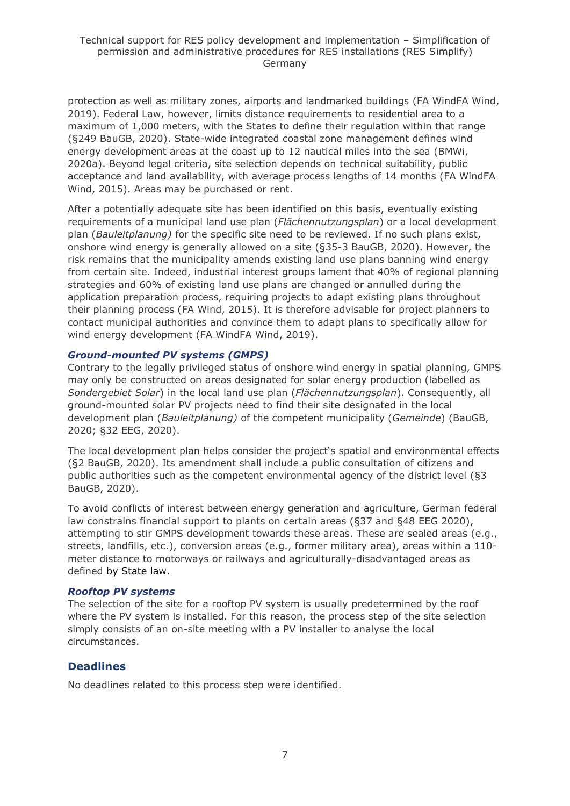protection as well as military zones, airports and landmarked buildings (FA WindFA Wind, 2019). Federal Law, however, limits distance requirements to residential area to a maximum of 1,000 meters, with the States to define their regulation within that range (§249 BauGB, 2020). State-wide integrated coastal zone management defines wind energy development areas at the coast up to 12 nautical miles into the sea (BMWi, 2020a). Beyond legal criteria, site selection depends on technical suitability, public acceptance and land availability, with average process lengths of 14 months (FA WindFA Wind, 2015). Areas may be purchased or rent.

After a potentially adequate site has been identified on this basis, eventually existing requirements of a municipal land use plan (*Flächennutzungsplan*) or a local development plan (*Bauleitplanung)* for the specific site need to be reviewed. If no such plans exist, onshore wind energy is generally allowed on a site (§35-3 BauGB, 2020). However, the risk remains that the municipality amends existing land use plans banning wind energy from certain site. Indeed, industrial interest groups lament that 40% of regional planning strategies and 60% of existing land use plans are changed or annulled during the application preparation process, requiring projects to adapt existing plans throughout their planning process (FA Wind, 2015). It is therefore advisable for project planners to contact municipal authorities and convince them to adapt plans to specifically allow for wind energy development (FA WindFA Wind, 2019).

#### *Ground-mounted PV systems (GMPS)*

Contrary to the legally privileged status of onshore wind energy in spatial planning, GMPS may only be constructed on areas designated for solar energy production (labelled as *Sondergebiet Solar*) in the local land use plan (*Flächennutzungsplan*). Consequently, all ground-mounted solar PV projects need to find their site designated in the local development plan (*Bauleitplanung)* of the competent municipality (*Gemeinde*) (BauGB, 2020; §32 EEG, 2020).

The local development plan helps consider the project's spatial and environmental effects (§2 BauGB, 2020). Its amendment shall include a public consultation of citizens and public authorities such as the competent environmental agency of the district level (§3 BauGB, 2020).

To avoid conflicts of interest between energy generation and agriculture, German federal law constrains financial support to plants on certain areas (§37 and §48 EEG 2020), attempting to stir GMPS development towards these areas. These are sealed areas (e.g., streets, landfills, etc.), conversion areas (e.g., former military area), areas within a 110 meter distance to motorways or railways and agriculturally-disadvantaged areas as defined by State law.

#### *Rooftop PV systems*

The selection of the site for a rooftop PV system is usually predetermined by the roof where the PV system is installed. For this reason, the process step of the site selection simply consists of an on-site meeting with a PV installer to analyse the local circumstances.

### **Deadlines**

No deadlines related to this process step were identified.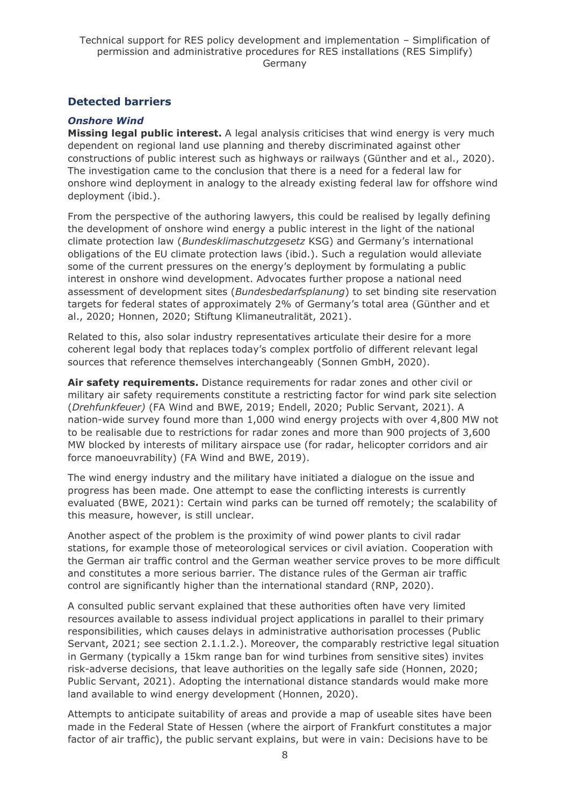### **Detected barriers**

#### *Onshore Wind*

**Missing legal public interest.** A legal analysis criticises that wind energy is very much dependent on regional land use planning and thereby discriminated against other constructions of public interest such as highways or railways (Günther and et al., 2020). The investigation came to the conclusion that there is a need for a federal law for onshore wind deployment in analogy to the already existing federal law for offshore wind deployment (ibid.).

From the perspective of the authoring lawyers, this could be realised by legally defining the development of onshore wind energy a public interest in the light of the national climate protection law (*Bundesklimaschutzgesetz* KSG) and Germany's international obligations of the EU climate protection laws (ibid.). Such a regulation would alleviate some of the current pressures on the energy's deployment by formulating a public interest in onshore wind development. Advocates further propose a national need assessment of development sites (*Bundesbedarfsplanung*) to set binding site reservation targets for federal states of approximately 2% of Germany's total area (Günther and et al., 2020; Honnen, 2020; Stiftung Klimaneutralität, 2021).

Related to this, also solar industry representatives articulate their desire for a more coherent legal body that replaces today's complex portfolio of different relevant legal sources that reference themselves interchangeably (Sonnen GmbH, 2020).

**Air safety requirements.** Distance requirements for radar zones and other civil or military air safety requirements constitute a restricting factor for wind park site selection (*Drehfunkfeuer)* (FA Wind and BWE, 2019; Endell, 2020; Public Servant, 2021). A nation-wide survey found more than 1,000 wind energy projects with over 4,800 MW not to be realisable due to restrictions for radar zones and more than 900 projects of 3,600 MW blocked by interests of military airspace use (for radar, helicopter corridors and air force manoeuvrability) (FA Wind and BWE, 2019).

The wind energy industry and the military have initiated a dialogue on the issue and progress has been made. One attempt to ease the conflicting interests is currently evaluated (BWE, 2021): Certain wind parks can be turned off remotely; the scalability of this measure, however, is still unclear.

Another aspect of the problem is the proximity of wind power plants to civil radar stations, for example those of meteorological services or civil aviation. Cooperation with the German air traffic control and the German weather service proves to be more difficult and constitutes a more serious barrier. The distance rules of the German air traffic control are significantly higher than the international standard (RNP, 2020).

A consulted public servant explained that these authorities often have very limited resources available to assess individual project applications in parallel to their primary responsibilities, which causes delays in administrative authorisation processes (Public Servant, 2021; see section 2.1.1.2.). Moreover, the comparably restrictive legal situation in Germany (typically a 15km range ban for wind turbines from sensitive sites) invites risk-adverse decisions, that leave authorities on the legally safe side (Honnen, 2020; Public Servant, 2021). Adopting the international distance standards would make more land available to wind energy development (Honnen, 2020).

Attempts to anticipate suitability of areas and provide a map of useable sites have been made in the Federal State of Hessen (where the airport of Frankfurt constitutes a major factor of air traffic), the public servant explains, but were in vain: Decisions have to be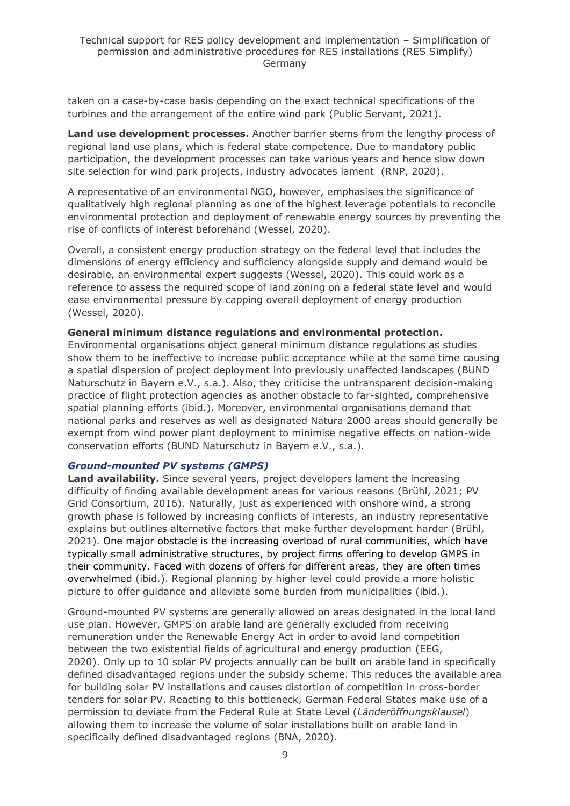taken on a case-by-case basis depending on the exact technical specifications of the turbines and the arrangement of the entire wind park (Public Servant, 2021).

**Land use development processes.** Another barrier stems from the lengthy process of regional land use plans, which is federal state competence. Due to mandatory public participation, the development processes can take various years and hence slow down site selection for wind park projects, industry advocates lament (RNP, 2020).

A representative of an environmental NGO, however, emphasises the significance of qualitatively high regional planning as one of the highest leverage potentials to reconcile environmental protection and deployment of renewable energy sources by preventing the rise of conflicts of interest beforehand (Wessel, 2020).

Overall, a consistent energy production strategy on the federal level that includes the dimensions of energy efficiency and sufficiency alongside supply and demand would be desirable, an environmental expert suggests (Wessel, 2020). This could work as a reference to assess the required scope of land zoning on a federal state level and would ease environmental pressure by capping overall deployment of energy production (Wessel, 2020).

#### **General minimum distance regulations and environmental protection.**

Environmental organisations object general minimum distance regulations as studies show them to be ineffective to increase public acceptance while at the same time causing a spatial dispersion of project deployment into previously unaffected landscapes (BUND Naturschutz in Bayern e.V., s.a.). Also, they criticise the untransparent decision-making practice of flight protection agencies as another obstacle to far-sighted, comprehensive spatial planning efforts (ibid.). Moreover, environmental organisations demand that national parks and reserves as well as designated Natura 2000 areas should generally be exempt from wind power plant deployment to minimise negative effects on nation-wide conservation efforts (BUND Naturschutz in Bayern e.V., s.a.).

#### *Ground-mounted PV systems (GMPS)*

**Land availability.** Since several years, project developers lament the increasing difficulty of finding available development areas for various reasons (Brühl, 2021; PV Grid Consortium, 2016). Naturally, just as experienced with onshore wind, a strong growth phase is followed by increasing conflicts of interests, an industry representative explains but outlines alternative factors that make further development harder (Brühl, 2021). One major obstacle is the increasing overload of rural communities, which have typically small administrative structures, by project firms offering to develop GMPS in their community. Faced with dozens of offers for different areas, they are often times overwhelmed (ibid.). Regional planning by higher level could provide a more holistic picture to offer guidance and alleviate some burden from municipalities (ibid.).

Ground-mounted PV systems are generally allowed on areas designated in the local land use plan. However, GMPS on arable land are generally excluded from receiving remuneration under the Renewable Energy Act in order to avoid land competition between the two existential fields of agricultural and energy production (EEG, 2020). Only up to 10 solar PV projects annually can be built on arable land in specifically defined disadvantaged regions under the subsidy scheme. This reduces the available area for building solar PV installations and causes distortion of competition in cross-border tenders for solar PV. Reacting to this bottleneck, German Federal States make use of a permission to deviate from the Federal Rule at State Level (*Länderöffnungsklausel*) allowing them to increase the volume of solar installations built on arable land in specifically defined disadvantaged regions (BNA, 2020).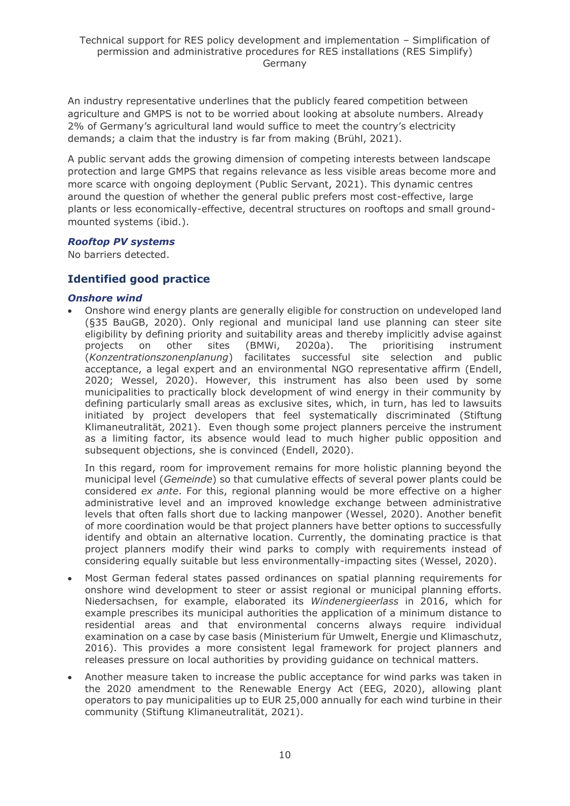An industry representative underlines that the publicly feared competition between agriculture and GMPS is not to be worried about looking at absolute numbers. Already 2% of Germany's agricultural land would suffice to meet the country's electricity demands; a claim that the industry is far from making (Brühl, 2021).

A public servant adds the growing dimension of competing interests between landscape protection and large GMPS that regains relevance as less visible areas become more and more scarce with ongoing deployment (Public Servant, 2021). This dynamic centres around the question of whether the general public prefers most cost-effective, large plants or less economically-effective, decentral structures on rooftops and small groundmounted systems (ibid.).

#### *Rooftop PV systems*

No barriers detected.

### **Identified good practice**

#### *Onshore wind*

• Onshore wind energy plants are generally eligible for construction on undeveloped land (§35 BauGB, 2020). Only regional and municipal land use planning can steer site eligibility by defining priority and suitability areas and thereby implicitly advise against projects on other sites (BMWi, 2020a). The prioritising instrument (*Konzentrationszonenplanung*) facilitates successful site selection and public acceptance, a legal expert and an environmental NGO representative affirm (Endell, 2020; Wessel, 2020). However, this instrument has also been used by some municipalities to practically block development of wind energy in their community by defining particularly small areas as exclusive sites, which, in turn, has led to lawsuits initiated by project developers that feel systematically discriminated (Stiftung Klimaneutralität, 2021). Even though some project planners perceive the instrument as a limiting factor, its absence would lead to much higher public opposition and subsequent objections, she is convinced (Endell, 2020).

In this regard, room for improvement remains for more holistic planning beyond the municipal level (*Gemeinde*) so that cumulative effects of several power plants could be considered *ex ante*. For this, regional planning would be more effective on a higher administrative level and an improved knowledge exchange between administrative levels that often falls short due to lacking manpower (Wessel, 2020). Another benefit of more coordination would be that project planners have better options to successfully identify and obtain an alternative location. Currently, the dominating practice is that project planners modify their wind parks to comply with requirements instead of considering equally suitable but less environmentally-impacting sites (Wessel, 2020).

- Most German federal states passed ordinances on spatial planning requirements for onshore wind development to steer or assist regional or municipal planning efforts. Niedersachsen, for example, elaborated its *Windenergieerlass* in 2016, which for example prescribes its municipal authorities the application of a minimum distance to residential areas and that environmental concerns always require individual examination on a case by case basis (Ministerium für Umwelt, Energie und Klimaschutz, 2016). This provides a more consistent legal framework for project planners and releases pressure on local authorities by providing guidance on technical matters.
- Another measure taken to increase the public acceptance for wind parks was taken in the 2020 amendment to the Renewable Energy Act (EEG, 2020), allowing plant operators to pay municipalities up to EUR 25,000 annually for each wind turbine in their community (Stiftung Klimaneutralität, 2021).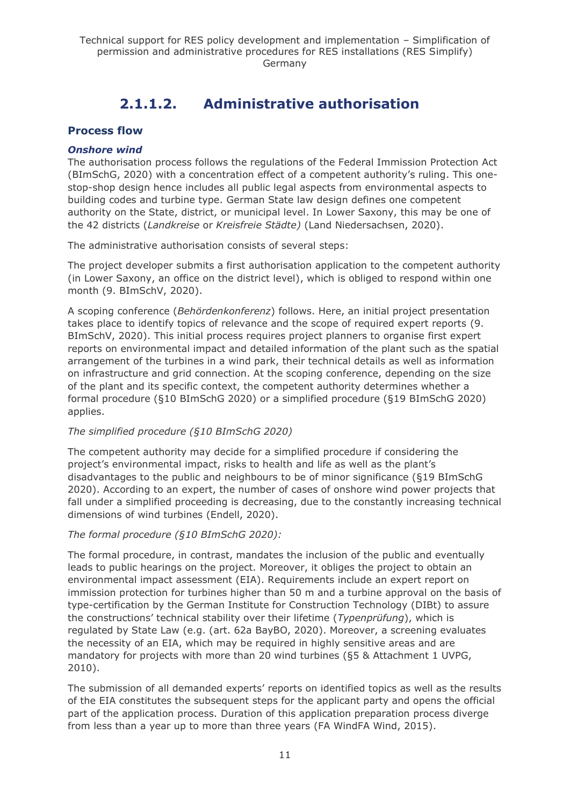# **2.1.1.2. Administrative authorisation**

### <span id="page-10-0"></span>**Process flow**

#### *Onshore wind*

The authorisation process follows the regulations of the Federal Immission Protection Act (BImSchG, 2020) with a concentration effect of a competent authority's ruling. This onestop-shop design hence includes all public legal aspects from environmental aspects to building codes and turbine type. German State law design defines one competent authority on the State, district, or municipal level. In Lower Saxony, this may be one of the 42 districts (*Landkreise* or *Kreisfreie Städte)* (Land Niedersachsen, 2020).

The administrative authorisation consists of several steps:

The project developer submits a first authorisation application to the competent authority (in Lower Saxony, an office on the district level), which is obliged to respond within one month (9. BImSchV, 2020).

A scoping conference (*Behördenkonferenz*) follows. Here, an initial project presentation takes place to identify topics of relevance and the scope of required expert reports (9. BImSchV, 2020). This initial process requires project planners to organise first expert reports on environmental impact and detailed information of the plant such as the spatial arrangement of the turbines in a wind park, their technical details as well as information on infrastructure and grid connection. At the scoping conference, depending on the size of the plant and its specific context, the competent authority determines whether a formal procedure (§10 BImSchG 2020) or a simplified procedure (§19 BImSchG 2020) applies.

#### *The simplified procedure (§10 BImSchG 2020)*

The competent authority may decide for a simplified procedure if considering the project's environmental impact, risks to health and life as well as the plant's disadvantages to the public and neighbours to be of minor significance (§19 BImSchG 2020). According to an expert, the number of cases of onshore wind power projects that fall under a simplified proceeding is decreasing, due to the constantly increasing technical dimensions of wind turbines (Endell, 2020).

#### *The formal procedure (§10 BImSchG 2020):*

The formal procedure, in contrast, mandates the inclusion of the public and eventually leads to public hearings on the project. Moreover, it obliges the project to obtain an environmental impact assessment (EIA). Requirements include an expert report on immission protection for turbines higher than 50 m and a turbine approval on the basis of type-certification by the German Institute for Construction Technology (DIBt) to assure the constructions' technical stability over their lifetime (*Typenprüfung*), which is regulated by State Law (e.g. (art. 62a BayBO, 2020). Moreover, a screening evaluates the necessity of an EIA, which may be required in highly sensitive areas and are mandatory for projects with more than 20 wind turbines (§5 & Attachment 1 UVPG, 2010).

The submission of all demanded experts' reports on identified topics as well as the results of the EIA constitutes the subsequent steps for the applicant party and opens the official part of the application process. Duration of this application preparation process diverge from less than a year up to more than three years (FA WindFA Wind, 2015).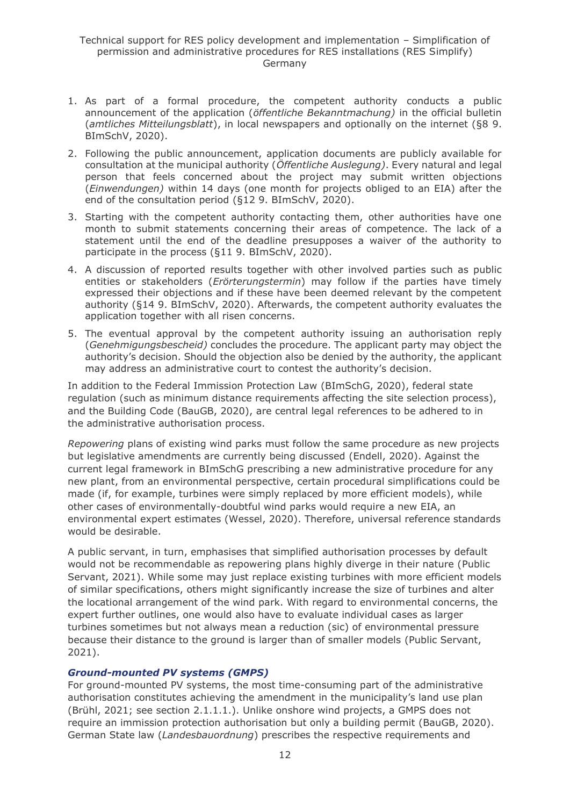- 1. As part of a formal procedure, the competent authority conducts a public announcement of the application (*öffentliche Bekanntmachung)* in the official bulletin (*amtliches Mitteilungsblatt*), in local newspapers and optionally on the internet (§8 9. BImSchV, 2020).
- 2. Following the public announcement, application documents are publicly available for consultation at the municipal authority (*Öffentliche Auslegung)*. Every natural and legal person that feels concerned about the project may submit written objections (*Einwendungen)* within 14 days (one month for projects obliged to an EIA) after the end of the consultation period (§12 9. BImSchV, 2020).
- 3. Starting with the competent authority contacting them, other authorities have one month to submit statements concerning their areas of competence. The lack of a statement until the end of the deadline presupposes a waiver of the authority to participate in the process (§11 9. BImSchV, 2020).
- 4. A discussion of reported results together with other involved parties such as public entities or stakeholders (*Erörterungstermin*) may follow if the parties have timely expressed their objections and if these have been deemed relevant by the competent authority (§14 9. BImSchV, 2020). Afterwards, the competent authority evaluates the application together with all risen concerns.
- 5. The eventual approval by the competent authority issuing an authorisation reply (*Genehmigungsbescheid)* concludes the procedure. The applicant party may object the authority's decision. Should the objection also be denied by the authority, the applicant may address an administrative court to contest the authority's decision.

In addition to the Federal Immission Protection Law (BImSchG, 2020), federal state regulation (such as minimum distance requirements affecting the site selection process), and the Building Code (BauGB, 2020), are central legal references to be adhered to in the administrative authorisation process.

*Repowering* plans of existing wind parks must follow the same procedure as new projects but legislative amendments are currently being discussed (Endell, 2020). Against the current legal framework in BImSchG prescribing a new administrative procedure for any new plant, from an environmental perspective, certain procedural simplifications could be made (if, for example, turbines were simply replaced by more efficient models), while other cases of environmentally-doubtful wind parks would require a new EIA, an environmental expert estimates (Wessel, 2020). Therefore, universal reference standards would be desirable.

A public servant, in turn, emphasises that simplified authorisation processes by default would not be recommendable as repowering plans highly diverge in their nature (Public Servant, 2021). While some may just replace existing turbines with more efficient models of similar specifications, others might significantly increase the size of turbines and alter the locational arrangement of the wind park. With regard to environmental concerns, the expert further outlines, one would also have to evaluate individual cases as larger turbines sometimes but not always mean a reduction (sic) of environmental pressure because their distance to the ground is larger than of smaller models (Public Servant, 2021).

#### *Ground-mounted PV systems (GMPS)*

For ground-mounted PV systems, the most time-consuming part of the administrative authorisation constitutes achieving the amendment in the municipality's land use plan (Brühl, 2021; see section 2.1.1.1.). Unlike onshore wind projects, a GMPS does not require an immission protection authorisation but only a building permit (BauGB, 2020). German State law (*Landesbauordnung*) prescribes the respective requirements and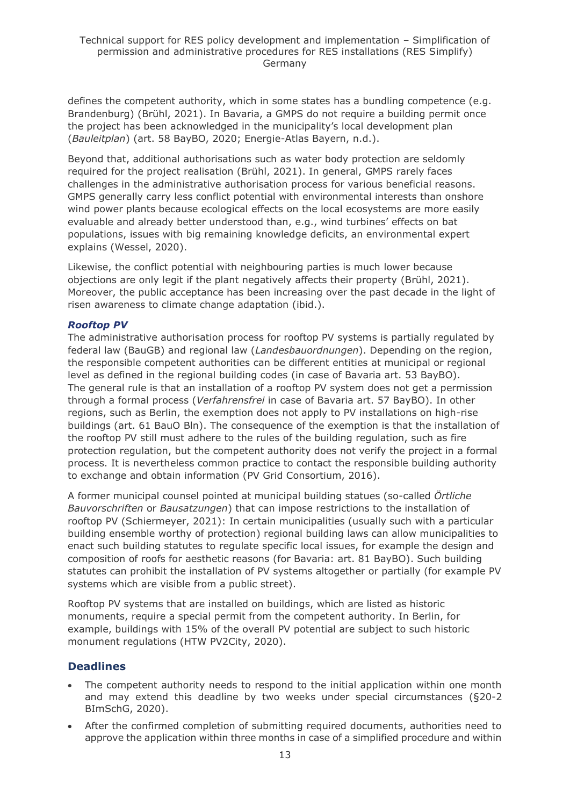defines the competent authority, which in some states has a bundling competence (e.g. Brandenburg) (Brühl, 2021). In Bavaria, a GMPS do not require a building permit once the project has been acknowledged in the municipality's local development plan (*Bauleitplan*) (art. 58 BayBO, 2020; Energie-Atlas Bayern, n.d.).

Beyond that, additional authorisations such as water body protection are seldomly required for the project realisation (Brühl, 2021). In general, GMPS rarely faces challenges in the administrative authorisation process for various beneficial reasons. GMPS generally carry less conflict potential with environmental interests than onshore wind power plants because ecological effects on the local ecosystems are more easily evaluable and already better understood than, e.g., wind turbines' effects on bat populations, issues with big remaining knowledge deficits, an environmental expert explains (Wessel, 2020).

Likewise, the conflict potential with neighbouring parties is much lower because objections are only legit if the plant negatively affects their property (Brühl, 2021). Moreover, the public acceptance has been increasing over the past decade in the light of risen awareness to climate change adaptation (ibid.).

#### *Rooftop PV*

The administrative authorisation process for rooftop PV systems is partially regulated by federal law (BauGB) and regional law (*Landesbauordnungen*). Depending on the region, the responsible competent authorities can be different entities at municipal or regional level as defined in the regional building codes (in case of Bavaria art. 53 BayBO). The general rule is that an installation of a rooftop PV system does not get a permission through a formal process (*Verfahrensfrei* in case of Bavaria art. 57 BayBO). In other regions, such as Berlin, the exemption does not apply to PV installations on high-rise buildings (art. 61 BauO Bln). The consequence of the exemption is that the installation of the rooftop PV still must adhere to the rules of the building regulation, such as fire protection regulation, but the competent authority does not verify the project in a formal process. It is nevertheless common practice to contact the responsible building authority to exchange and obtain information (PV Grid Consortium, 2016).

A former municipal counsel pointed at municipal building statues (so-called *Örtliche Bauvorschriften* or *Bausatzungen*) that can impose restrictions to the installation of rooftop PV (Schiermeyer, 2021): In certain municipalities (usually such with a particular building ensemble worthy of protection) regional building laws can allow municipalities to enact such building statutes to regulate specific local issues, for example the design and composition of roofs for aesthetic reasons (for Bavaria: art. 81 BayBO). Such building statutes can prohibit the installation of PV systems altogether or partially (for example PV systems which are visible from a public street).

Rooftop PV systems that are installed on buildings, which are listed as historic monuments, require a special permit from the competent authority. In Berlin, for example, buildings with 15% of the overall PV potential are subject to such historic monument regulations (HTW PV2City, 2020).

### **Deadlines**

- The competent authority needs to respond to the initial application within one month and may extend this deadline by two weeks under special circumstances (§20-2 BImSchG, 2020).
- After the confirmed completion of submitting required documents, authorities need to approve the application within three months in case of a simplified procedure and within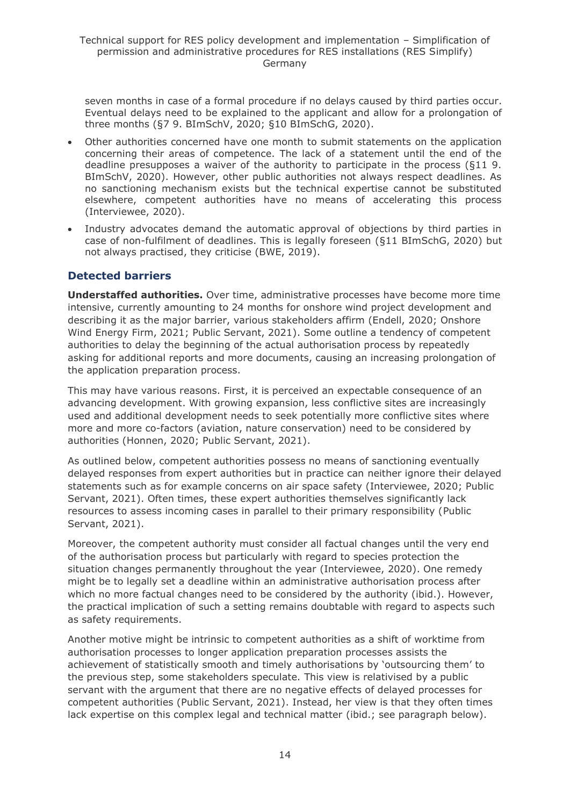seven months in case of a formal procedure if no delays caused by third parties occur. Eventual delays need to be explained to the applicant and allow for a prolongation of three months (§7 9. BImSchV, 2020; §10 BImSchG, 2020).

- Other authorities concerned have one month to submit statements on the application concerning their areas of competence. The lack of a statement until the end of the deadline presupposes a waiver of the authority to participate in the process (§11 9. BImSchV, 2020). However, other public authorities not always respect deadlines. As no sanctioning mechanism exists but the technical expertise cannot be substituted elsewhere, competent authorities have no means of accelerating this process (Interviewee, 2020).
- Industry advocates demand the automatic approval of objections by third parties in case of non-fulfilment of deadlines. This is legally foreseen (§11 BImSchG, 2020) but not always practised, they criticise (BWE, 2019).

### **Detected barriers**

**Understaffed authorities.** Over time, administrative processes have become more time intensive, currently amounting to 24 months for onshore wind project development and describing it as the major barrier, various stakeholders affirm (Endell, 2020; Onshore Wind Energy Firm, 2021; Public Servant, 2021). Some outline a tendency of competent authorities to delay the beginning of the actual authorisation process by repeatedly asking for additional reports and more documents, causing an increasing prolongation of the application preparation process.

This may have various reasons. First, it is perceived an expectable consequence of an advancing development. With growing expansion, less conflictive sites are increasingly used and additional development needs to seek potentially more conflictive sites where more and more co-factors (aviation, nature conservation) need to be considered by authorities (Honnen, 2020; Public Servant, 2021).

As outlined below, competent authorities possess no means of sanctioning eventually delayed responses from expert authorities but in practice can neither ignore their delayed statements such as for example concerns on air space safety (Interviewee, 2020; Public Servant, 2021). Often times, these expert authorities themselves significantly lack resources to assess incoming cases in parallel to their primary responsibility (Public Servant, 2021).

Moreover, the competent authority must consider all factual changes until the very end of the authorisation process but particularly with regard to species protection the situation changes permanently throughout the year (Interviewee, 2020). One remedy might be to legally set a deadline within an administrative authorisation process after which no more factual changes need to be considered by the authority (ibid.). However, the practical implication of such a setting remains doubtable with regard to aspects such as safety requirements.

Another motive might be intrinsic to competent authorities as a shift of worktime from authorisation processes to longer application preparation processes assists the achievement of statistically smooth and timely authorisations by 'outsourcing them' to the previous step, some stakeholders speculate. This view is relativised by a public servant with the argument that there are no negative effects of delayed processes for competent authorities (Public Servant, 2021). Instead, her view is that they often times lack expertise on this complex legal and technical matter (ibid.; see paragraph below).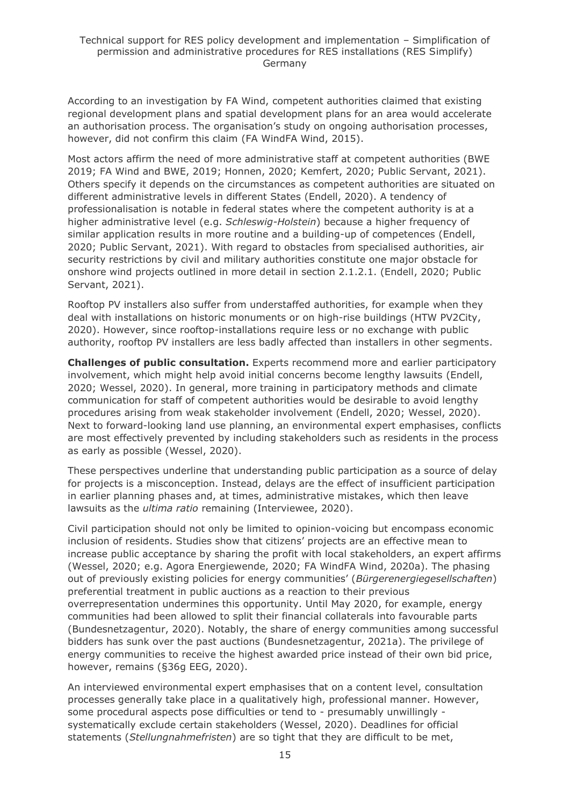According to an investigation by FA Wind, competent authorities claimed that existing regional development plans and spatial development plans for an area would accelerate an authorisation process. The organisation's study on ongoing authorisation processes, however, did not confirm this claim (FA WindFA Wind, 2015).

Most actors affirm the need of more administrative staff at competent authorities (BWE 2019; FA Wind and BWE, 2019; Honnen, 2020; Kemfert, 2020; Public Servant, 2021). Others specify it depends on the circumstances as competent authorities are situated on different administrative levels in different States (Endell, 2020). A tendency of professionalisation is notable in federal states where the competent authority is at a higher administrative level (e.g. *Schleswig-Holstein*) because a higher frequency of similar application results in more routine and a building-up of competences (Endell, 2020; Public Servant, 2021). With regard to obstacles from specialised authorities, air security restrictions by civil and military authorities constitute one major obstacle for onshore wind projects outlined in more detail in section 2.1.2.1. (Endell, 2020; Public Servant, 2021).

Rooftop PV installers also suffer from understaffed authorities, for example when they deal with installations on historic monuments or on high-rise buildings (HTW PV2City, 2020). However, since rooftop-installations require less or no exchange with public authority, rooftop PV installers are less badly affected than installers in other segments.

**Challenges of public consultation.** Experts recommend more and earlier participatory involvement, which might help avoid initial concerns become lengthy lawsuits (Endell, 2020; Wessel, 2020). In general, more training in participatory methods and climate communication for staff of competent authorities would be desirable to avoid lengthy procedures arising from weak stakeholder involvement (Endell, 2020; Wessel, 2020). Next to forward-looking land use planning, an environmental expert emphasises, conflicts are most effectively prevented by including stakeholders such as residents in the process as early as possible (Wessel, 2020).

These perspectives underline that understanding public participation as a source of delay for projects is a misconception. Instead, delays are the effect of insufficient participation in earlier planning phases and, at times, administrative mistakes, which then leave lawsuits as the *ultima ratio* remaining (Interviewee, 2020).

Civil participation should not only be limited to opinion-voicing but encompass economic inclusion of residents. Studies show that citizens' projects are an effective mean to increase public acceptance by sharing the profit with local stakeholders, an expert affirms (Wessel, 2020; e.g. Agora Energiewende, 2020; FA WindFA Wind, 2020a). The phasing out of previously existing policies for energy communities' (*Bürgerenergiegesellschaften*) preferential treatment in public auctions as a reaction to their previous overrepresentation undermines this opportunity. Until May 2020, for example, energy communities had been allowed to split their financial collaterals into favourable parts (Bundesnetzagentur, 2020). Notably, the share of energy communities among successful bidders has sunk over the past auctions (Bundesnetzagentur, 2021a). The privilege of energy communities to receive the highest awarded price instead of their own bid price, however, remains (§36g EEG, 2020).

An interviewed environmental expert emphasises that on a content level, consultation processes generally take place in a qualitatively high, professional manner. However, some procedural aspects pose difficulties or tend to - presumably unwillingly systematically exclude certain stakeholders (Wessel, 2020). Deadlines for official statements (*Stellungnahmefristen*) are so tight that they are difficult to be met,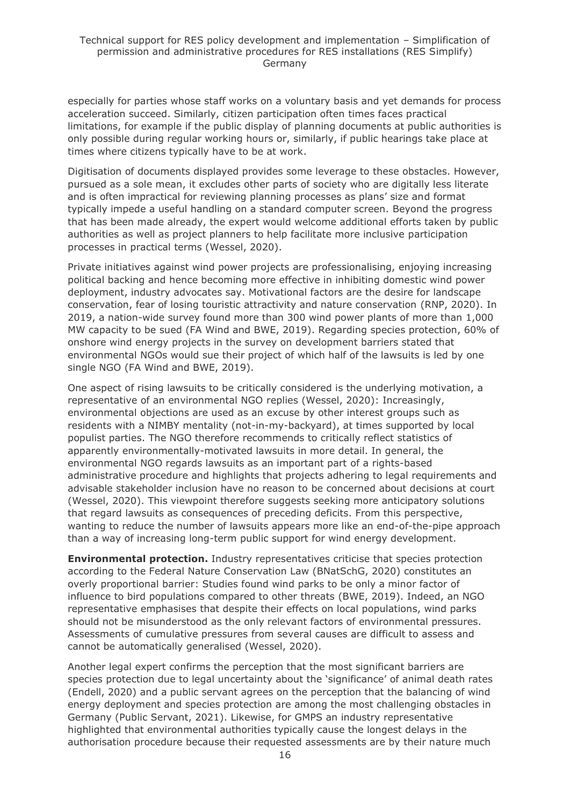especially for parties whose staff works on a voluntary basis and yet demands for process acceleration succeed. Similarly, citizen participation often times faces practical limitations, for example if the public display of planning documents at public authorities is only possible during regular working hours or, similarly, if public hearings take place at times where citizens typically have to be at work.

Digitisation of documents displayed provides some leverage to these obstacles. However, pursued as a sole mean, it excludes other parts of society who are digitally less literate and is often impractical for reviewing planning processes as plans' size and format typically impede a useful handling on a standard computer screen. Beyond the progress that has been made already, the expert would welcome additional efforts taken by public authorities as well as project planners to help facilitate more inclusive participation processes in practical terms (Wessel, 2020).

Private initiatives against wind power projects are professionalising, enjoying increasing political backing and hence becoming more effective in inhibiting domestic wind power deployment, industry advocates say. Motivational factors are the desire for landscape conservation, fear of losing touristic attractivity and nature conservation (RNP, 2020). In 2019, a nation-wide survey found more than 300 wind power plants of more than 1,000 MW capacity to be sued (FA Wind and BWE, 2019). Regarding species protection, 60% of onshore wind energy projects in the survey on development barriers stated that environmental NGOs would sue their project of which half of the lawsuits is led by one single NGO (FA Wind and BWE, 2019).

One aspect of rising lawsuits to be critically considered is the underlying motivation, a representative of an environmental NGO replies (Wessel, 2020): Increasingly, environmental objections are used as an excuse by other interest groups such as residents with a NIMBY mentality (not-in-my-backyard), at times supported by local populist parties. The NGO therefore recommends to critically reflect statistics of apparently environmentally-motivated lawsuits in more detail. In general, the environmental NGO regards lawsuits as an important part of a rights-based administrative procedure and highlights that projects adhering to legal requirements and advisable stakeholder inclusion have no reason to be concerned about decisions at court (Wessel, 2020). This viewpoint therefore suggests seeking more anticipatory solutions that regard lawsuits as consequences of preceding deficits. From this perspective, wanting to reduce the number of lawsuits appears more like an end-of-the-pipe approach than a way of increasing long-term public support for wind energy development.

**Environmental protection.** Industry representatives criticise that species protection according to the Federal Nature Conservation Law (BNatSchG, 2020) constitutes an overly proportional barrier: Studies found wind parks to be only a minor factor of influence to bird populations compared to other threats (BWE, 2019). Indeed, an NGO representative emphasises that despite their effects on local populations, wind parks should not be misunderstood as the only relevant factors of environmental pressures. Assessments of cumulative pressures from several causes are difficult to assess and cannot be automatically generalised (Wessel, 2020).

Another legal expert confirms the perception that the most significant barriers are species protection due to legal uncertainty about the 'significance' of animal death rates (Endell, 2020) and a public servant agrees on the perception that the balancing of wind energy deployment and species protection are among the most challenging obstacles in Germany (Public Servant, 2021). Likewise, for GMPS an industry representative highlighted that environmental authorities typically cause the longest delays in the authorisation procedure because their requested assessments are by their nature much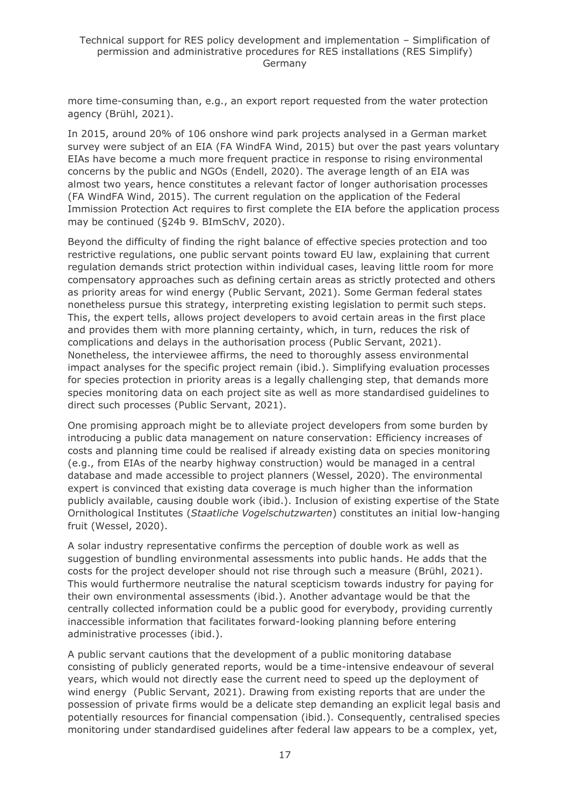more time-consuming than, e.g., an export report requested from the water protection agency (Brühl, 2021).

In 2015, around 20% of 106 onshore wind park projects analysed in a German market survey were subject of an EIA (FA WindFA Wind, 2015) but over the past years voluntary EIAs have become a much more frequent practice in response to rising environmental concerns by the public and NGOs (Endell, 2020). The average length of an EIA was almost two years, hence constitutes a relevant factor of longer authorisation processes (FA WindFA Wind, 2015). The current regulation on the application of the Federal Immission Protection Act requires to first complete the EIA before the application process may be continued (§24b 9. BImSchV, 2020).

Beyond the difficulty of finding the right balance of effective species protection and too restrictive regulations, one public servant points toward EU law, explaining that current regulation demands strict protection within individual cases, leaving little room for more compensatory approaches such as defining certain areas as strictly protected and others as priority areas for wind energy (Public Servant, 2021). Some German federal states nonetheless pursue this strategy, interpreting existing legislation to permit such steps. This, the expert tells, allows project developers to avoid certain areas in the first place and provides them with more planning certainty, which, in turn, reduces the risk of complications and delays in the authorisation process (Public Servant, 2021). Nonetheless, the interviewee affirms, the need to thoroughly assess environmental impact analyses for the specific project remain (ibid.). Simplifying evaluation processes for species protection in priority areas is a legally challenging step, that demands more species monitoring data on each project site as well as more standardised guidelines to direct such processes (Public Servant, 2021).

One promising approach might be to alleviate project developers from some burden by introducing a public data management on nature conservation: Efficiency increases of costs and planning time could be realised if already existing data on species monitoring (e.g., from EIAs of the nearby highway construction) would be managed in a central database and made accessible to project planners (Wessel, 2020). The environmental expert is convinced that existing data coverage is much higher than the information publicly available, causing double work (ibid.). Inclusion of existing expertise of the State Ornithological Institutes (*Staatliche Vogelschutzwarten*) constitutes an initial low-hanging fruit (Wessel, 2020).

A solar industry representative confirms the perception of double work as well as suggestion of bundling environmental assessments into public hands. He adds that the costs for the project developer should not rise through such a measure (Brühl, 2021). This would furthermore neutralise the natural scepticism towards industry for paying for their own environmental assessments (ibid.). Another advantage would be that the centrally collected information could be a public good for everybody, providing currently inaccessible information that facilitates forward-looking planning before entering administrative processes (ibid.).

A public servant cautions that the development of a public monitoring database consisting of publicly generated reports, would be a time-intensive endeavour of several years, which would not directly ease the current need to speed up the deployment of wind energy (Public Servant, 2021). Drawing from existing reports that are under the possession of private firms would be a delicate step demanding an explicit legal basis and potentially resources for financial compensation (ibid.). Consequently, centralised species monitoring under standardised guidelines after federal law appears to be a complex, yet,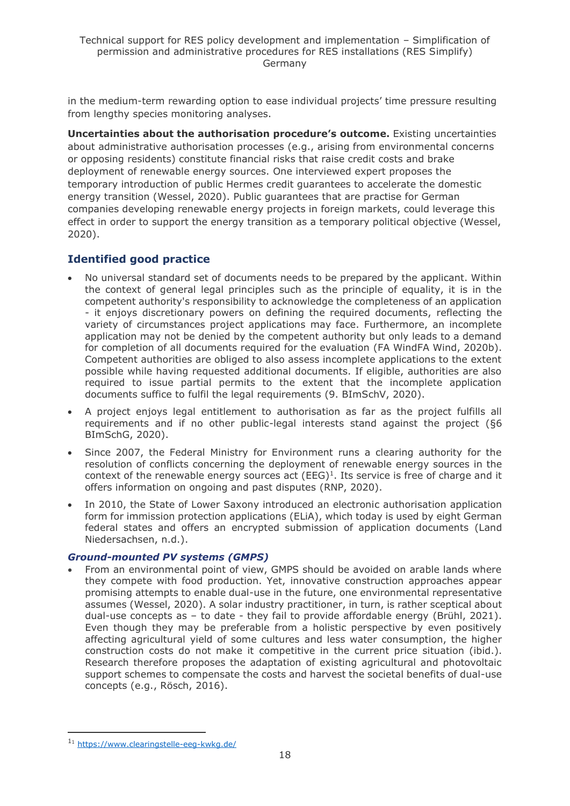in the medium-term rewarding option to ease individual projects' time pressure resulting from lengthy species monitoring analyses.

**Uncertainties about the authorisation procedure's outcome.** Existing uncertainties about administrative authorisation processes (e.g., arising from environmental concerns or opposing residents) constitute financial risks that raise credit costs and brake deployment of renewable energy sources. One interviewed expert proposes the temporary introduction of public Hermes credit guarantees to accelerate the domestic energy transition (Wessel, 2020). Public guarantees that are practise for German companies developing renewable energy projects in foreign markets, could leverage this effect in order to support the energy transition as a temporary political objective (Wessel, 2020).

### **Identified good practice**

- No universal standard set of documents needs to be prepared by the applicant. Within the context of general legal principles such as the principle of equality, it is in the competent authority's responsibility to acknowledge the completeness of an application - it enjoys discretionary powers on defining the required documents, reflecting the variety of circumstances project applications may face. Furthermore, an incomplete application may not be denied by the competent authority but only leads to a demand for completion of all documents required for the evaluation (FA WindFA Wind, 2020b). Competent authorities are obliged to also assess incomplete applications to the extent possible while having requested additional documents. If eligible, authorities are also required to issue partial permits to the extent that the incomplete application documents suffice to fulfil the legal requirements (9. BImSchV, 2020).
- A project enjoys legal entitlement to authorisation as far as the project fulfills all requirements and if no other public-legal interests stand against the project (§6 BImSchG, 2020).
- Since 2007, the Federal Ministry for Environment runs a clearing authority for the resolution of conflicts concerning the deployment of renewable energy sources in the context of the renewable energy sources act  $(EEG)^1$ . Its service is free of charge and it offers information on ongoing and past disputes (RNP, 2020).
- In 2010, the State of Lower Saxony introduced an electronic authorisation application form for immission protection applications (ELiA), which today is used by eight German federal states and offers an encrypted submission of application documents (Land Niedersachsen, n.d.).

#### *Ground-mounted PV systems (GMPS)*

• From an environmental point of view, GMPS should be avoided on arable lands where they compete with food production. Yet, innovative construction approaches appear promising attempts to enable dual-use in the future, one environmental representative assumes (Wessel, 2020). A solar industry practitioner, in turn, is rather sceptical about dual-use concepts as – to date - they fail to provide affordable energy (Brühl, 2021). Even though they may be preferable from a holistic perspective by even positively affecting agricultural yield of some cultures and less water consumption, the higher construction costs do not make it competitive in the current price situation (ibid.). Research therefore proposes the adaptation of existing agricultural and photovoltaic support schemes to compensate the costs and harvest the societal benefits of dual-use concepts (e.g., Rösch, 2016).

<sup>1</sup><sup>1</sup> <https://www.clearingstelle-eeg-kwkg.de/>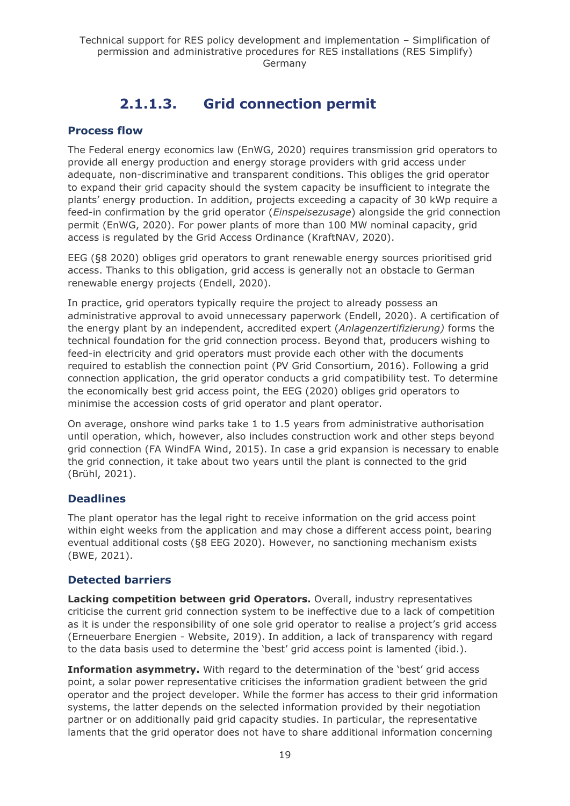# **2.1.1.3. Grid connection permit**

### <span id="page-18-0"></span>**Process flow**

The Federal energy economics law (EnWG, 2020) requires transmission grid operators to provide all energy production and energy storage providers with grid access under adequate, non-discriminative and transparent conditions. This obliges the grid operator to expand their grid capacity should the system capacity be insufficient to integrate the plants' energy production. In addition, projects exceeding a capacity of 30 kWp require a feed-in confirmation by the grid operator (*Einspeisezusage*) alongside the grid connection permit (EnWG, 2020). For power plants of more than 100 MW nominal capacity, grid access is regulated by the Grid Access Ordinance (KraftNAV, 2020).

EEG (§8 2020) obliges grid operators to grant renewable energy sources prioritised grid access. Thanks to this obligation, grid access is generally not an obstacle to German renewable energy projects (Endell, 2020).

In practice, grid operators typically require the project to already possess an administrative approval to avoid unnecessary paperwork (Endell, 2020). A certification of the energy plant by an independent, accredited expert (*Anlagenzertifizierung)* forms the technical foundation for the grid connection process. Beyond that, producers wishing to feed-in electricity and grid operators must provide each other with the documents required to establish the connection point (PV Grid Consortium, 2016). Following a grid connection application, the grid operator conducts a grid compatibility test. To determine the economically best grid access point, the EEG (2020) obliges grid operators to minimise the accession costs of grid operator and plant operator.

On average, onshore wind parks take 1 to 1.5 years from administrative authorisation until operation, which, however, also includes construction work and other steps beyond grid connection (FA WindFA Wind, 2015). In case a grid expansion is necessary to enable the grid connection, it take about two years until the plant is connected to the grid (Brühl, 2021).

### **Deadlines**

The plant operator has the legal right to receive information on the grid access point within eight weeks from the application and may chose a different access point, bearing eventual additional costs (§8 EEG 2020). However, no sanctioning mechanism exists (BWE, 2021).

### **Detected barriers**

**Lacking competition between grid Operators.** Overall, industry representatives criticise the current grid connection system to be ineffective due to a lack of competition as it is under the responsibility of one sole grid operator to realise a project's grid access (Erneuerbare Energien - Website, 2019). In addition, a lack of transparency with regard to the data basis used to determine the 'best' grid access point is lamented (ibid.).

**Information asymmetry.** With regard to the determination of the 'best' grid access point, a solar power representative criticises the information gradient between the grid operator and the project developer. While the former has access to their grid information systems, the latter depends on the selected information provided by their negotiation partner or on additionally paid grid capacity studies. In particular, the representative laments that the grid operator does not have to share additional information concerning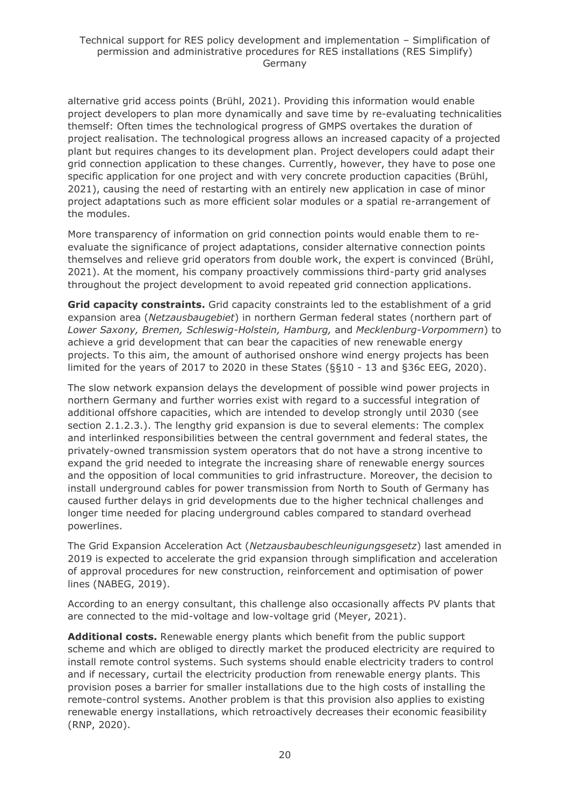alternative grid access points (Brühl, 2021). Providing this information would enable project developers to plan more dynamically and save time by re-evaluating technicalities themself: Often times the technological progress of GMPS overtakes the duration of project realisation. The technological progress allows an increased capacity of a projected plant but requires changes to its development plan. Project developers could adapt their grid connection application to these changes. Currently, however, they have to pose one specific application for one project and with very concrete production capacities (Brühl, 2021), causing the need of restarting with an entirely new application in case of minor project adaptations such as more efficient solar modules or a spatial re-arrangement of the modules.

More transparency of information on grid connection points would enable them to reevaluate the significance of project adaptations, consider alternative connection points themselves and relieve grid operators from double work, the expert is convinced (Brühl, 2021). At the moment, his company proactively commissions third-party grid analyses throughout the project development to avoid repeated grid connection applications.

**Grid capacity constraints.** Grid capacity constraints led to the establishment of a grid expansion area (*Netzausbaugebiet*) in northern German federal states (northern part of *Lower Saxony, Bremen, Schleswig-Holstein, Hamburg,* and *Mecklenburg-Vorpommern*) to achieve a grid development that can bear the capacities of new renewable energy projects. To this aim, the amount of authorised onshore wind energy projects has been limited for the years of 2017 to 2020 in these States (§§10 - 13 and §36c EEG, 2020).

The slow network expansion delays the development of possible wind power projects in northern Germany and further worries exist with regard to a successful integration of additional offshore capacities, which are intended to develop strongly until 2030 (see section 2.1.2.3.). The lengthy grid expansion is due to several elements: The complex and interlinked responsibilities between the central government and federal states, the privately-owned transmission system operators that do not have a strong incentive to expand the grid needed to integrate the increasing share of renewable energy sources and the opposition of local communities to grid infrastructure. Moreover, the decision to install underground cables for power transmission from North to South of Germany has caused further delays in grid developments due to the higher technical challenges and longer time needed for placing underground cables compared to standard overhead powerlines.

The Grid Expansion Acceleration Act (*Netzausbaubeschleunigungsgesetz*) last amended in 2019 is expected to accelerate the grid expansion through simplification and acceleration of approval procedures for new construction, reinforcement and optimisation of power lines (NABEG, 2019).

According to an energy consultant, this challenge also occasionally affects PV plants that are connected to the mid-voltage and low-voltage grid (Meyer, 2021).

**Additional costs.** Renewable energy plants which benefit from the public support scheme and which are obliged to directly market the produced electricity are required to install remote control systems. Such systems should enable electricity traders to control and if necessary, curtail the electricity production from renewable energy plants. This provision poses a barrier for smaller installations due to the high costs of installing the remote-control systems. Another problem is that this provision also applies to existing renewable energy installations, which retroactively decreases their economic feasibility (RNP, 2020).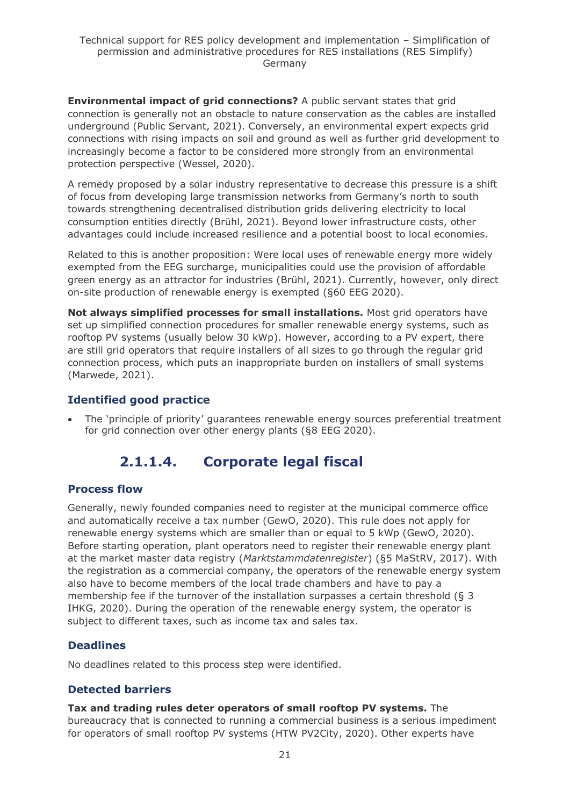**Environmental impact of grid connections?** A public servant states that grid connection is generally not an obstacle to nature conservation as the cables are installed underground (Public Servant, 2021). Conversely, an environmental expert expects grid connections with rising impacts on soil and ground as well as further grid development to increasingly become a factor to be considered more strongly from an environmental protection perspective (Wessel, 2020).

A remedy proposed by a solar industry representative to decrease this pressure is a shift of focus from developing large transmission networks from Germany's north to south towards strengthening decentralised distribution grids delivering electricity to local consumption entities directly (Brühl, 2021). Beyond lower infrastructure costs, other advantages could include increased resilience and a potential boost to local economies.

Related to this is another proposition: Were local uses of renewable energy more widely exempted from the EEG surcharge, municipalities could use the provision of affordable green energy as an attractor for industries (Brühl, 2021). Currently, however, only direct on-site production of renewable energy is exempted (§60 EEG 2020).

**Not always simplified processes for small installations.** Most grid operators have set up simplified connection procedures for smaller renewable energy systems, such as rooftop PV systems (usually below 30 kWp). However, according to a PV expert, there are still grid operators that require installers of all sizes to go through the regular grid connection process, which puts an inappropriate burden on installers of small systems (Marwede, 2021).

### **Identified good practice**

<span id="page-20-0"></span>• The 'principle of priority' guarantees renewable energy sources preferential treatment for grid connection over other energy plants (§8 EEG 2020).

# **2.1.1.4. Corporate legal fiscal**

### **Process flow**

Generally, newly founded companies need to register at the municipal commerce office and automatically receive a tax number (GewO, 2020). This rule does not apply for renewable energy systems which are smaller than or equal to 5 kWp (GewO, 2020). Before starting operation, plant operators need to register their renewable energy plant at the market master data registry (*Marktstammdatenregister*) (§5 MaStRV, 2017). With the registration as a commercial company, the operators of the renewable energy system also have to become members of the local trade chambers and have to pay a membership fee if the turnover of the installation surpasses a certain threshold (§ 3 IHKG, 2020). During the operation of the renewable energy system, the operator is subject to different taxes, such as income tax and sales tax.

### **Deadlines**

No deadlines related to this process step were identified.

### **Detected barriers**

**Tax and trading rules deter operators of small rooftop PV systems.** The bureaucracy that is connected to running a commercial business is a serious impediment for operators of small rooftop PV systems (HTW PV2City, 2020). Other experts have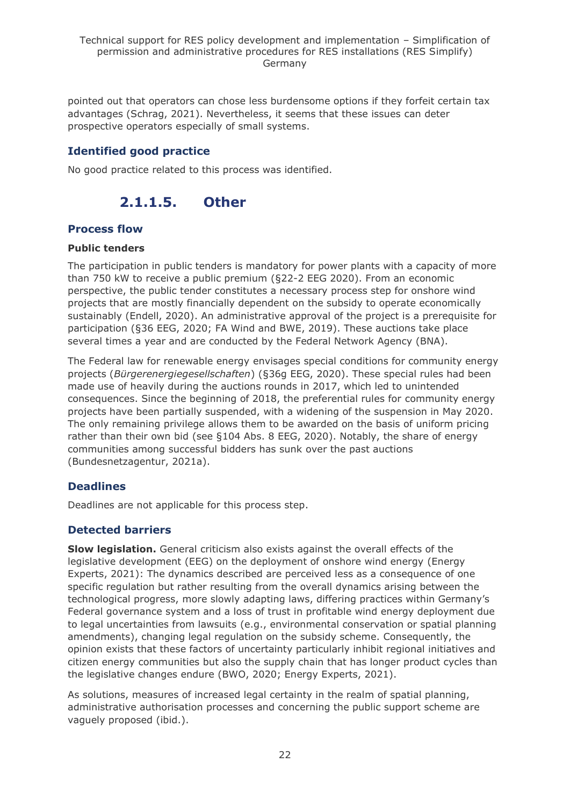pointed out that operators can chose less burdensome options if they forfeit certain tax advantages (Schrag, 2021). Nevertheless, it seems that these issues can deter prospective operators especially of small systems.

### **Identified good practice**

<span id="page-21-0"></span>No good practice related to this process was identified.

# **2.1.1.5. Other**

### **Process flow**

#### **Public tenders**

The participation in public tenders is mandatory for power plants with a capacity of more than 750 kW to receive a public premium (§22-2 EEG 2020). From an economic perspective, the public tender constitutes a necessary process step for onshore wind projects that are mostly financially dependent on the subsidy to operate economically sustainably (Endell, 2020). An administrative approval of the project is a prerequisite for participation (§36 EEG, 2020; FA Wind and BWE, 2019). These auctions take place several times a year and are conducted by the Federal Network Agency (BNA).

The Federal law for renewable energy envisages special conditions for community energy projects (*Bürgerenergiegesellschaften*) (§36g EEG, 2020). These special rules had been made use of heavily during the auctions rounds in 2017, which led to unintended consequences. Since the beginning of 2018, the preferential rules for community energy projects have been partially suspended, with a widening of the suspension in May 2020. The only remaining privilege allows them to be awarded on the basis of uniform pricing rather than their own bid (see §104 Abs. 8 EEG, 2020). Notably, the share of energy communities among successful bidders has sunk over the past auctions (Bundesnetzagentur, 2021a).

### **Deadlines**

Deadlines are not applicable for this process step.

### **Detected barriers**

**Slow legislation.** General criticism also exists against the overall effects of the legislative development (EEG) on the deployment of onshore wind energy (Energy Experts, 2021): The dynamics described are perceived less as a consequence of one specific regulation but rather resulting from the overall dynamics arising between the technological progress, more slowly adapting laws, differing practices within Germany's Federal governance system and a loss of trust in profitable wind energy deployment due to legal uncertainties from lawsuits (e.g., environmental conservation or spatial planning amendments), changing legal regulation on the subsidy scheme. Consequently, the opinion exists that these factors of uncertainty particularly inhibit regional initiatives and citizen energy communities but also the supply chain that has longer product cycles than the legislative changes endure (BWO, 2020; Energy Experts, 2021).

As solutions, measures of increased legal certainty in the realm of spatial planning, administrative authorisation processes and concerning the public support scheme are vaguely proposed (ibid.).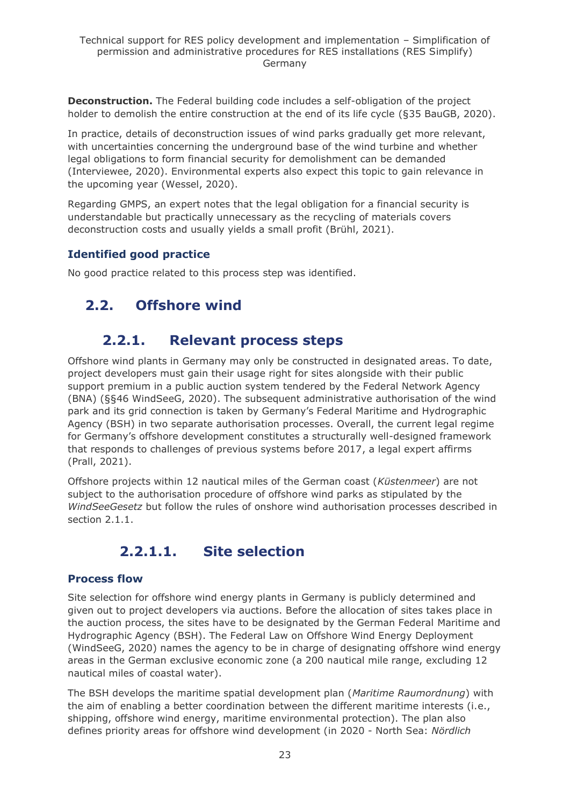**Deconstruction.** The Federal building code includes a self-obligation of the project holder to demolish the entire construction at the end of its life cycle (§35 BauGB, 2020).

In practice, details of deconstruction issues of wind parks gradually get more relevant, with uncertainties concerning the underground base of the wind turbine and whether legal obligations to form financial security for demolishment can be demanded (Interviewee, 2020). Environmental experts also expect this topic to gain relevance in the upcoming year (Wessel, 2020).

Regarding GMPS, an expert notes that the legal obligation for a financial security is understandable but practically unnecessary as the recycling of materials covers deconstruction costs and usually yields a small profit (Brühl, 2021).

### **Identified good practice**

<span id="page-22-0"></span>No good practice related to this process step was identified.

# <span id="page-22-1"></span>**2.2. Offshore wind**

# **2.2.1. Relevant process steps**

Offshore wind plants in Germany may only be constructed in designated areas. To date, project developers must gain their usage right for sites alongside with their public support premium in a public auction system tendered by the Federal Network Agency (BNA) (§§46 WindSeeG, 2020). The subsequent administrative authorisation of the wind park and its grid connection is taken by Germany's Federal Maritime and Hydrographic Agency (BSH) in two separate authorisation processes. Overall, the current legal regime for Germany's offshore development constitutes a structurally well-designed framework that responds to challenges of previous systems before 2017, a legal expert affirms (Prall, 2021).

Offshore projects within 12 nautical miles of the German coast (*Küstenmeer*) are not subject to the authorisation procedure of offshore wind parks as stipulated by the *WindSeeGesetz* but follow the rules of onshore wind authorisation processes described in section 2.1.1.

# **2.2.1.1. Site selection**

### <span id="page-22-2"></span>**Process flow**

Site selection for offshore wind energy plants in Germany is publicly determined and given out to project developers via auctions. Before the allocation of sites takes place in the auction process, the sites have to be designated by the German Federal Maritime and Hydrographic Agency (BSH). The Federal Law on Offshore Wind Energy Deployment (WindSeeG, 2020) names the agency to be in charge of designating offshore wind energy areas in the German exclusive economic zone (a 200 nautical mile range, excluding 12 nautical miles of coastal water).

The BSH develops the maritime spatial development plan (*Maritime Raumordnung*) with the aim of enabling a better coordination between the different maritime interests (i.e., shipping, offshore wind energy, maritime environmental protection). The plan also defines priority areas for offshore wind development (in 2020 - North Sea: *Nördlich*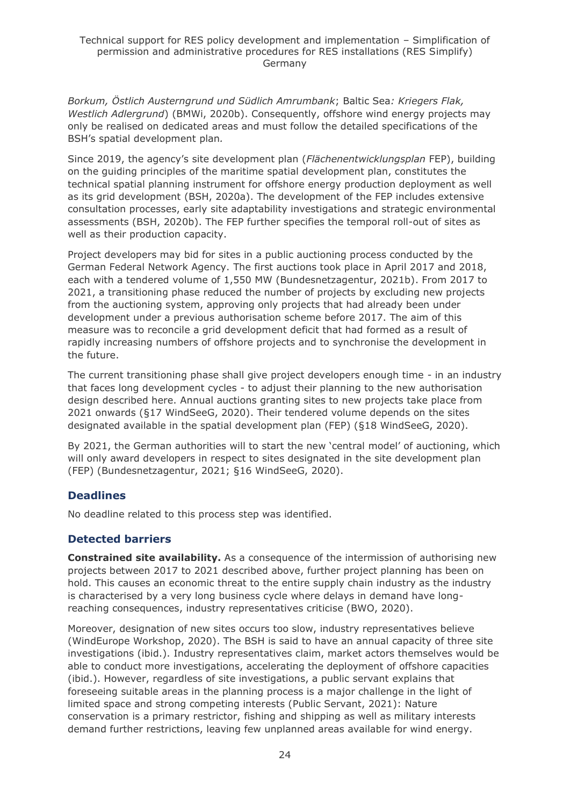*Borkum, Östlich Austerngrund und Südlich Amrumbank*; Baltic Sea*: Kriegers Flak, Westlich Adlergrund*) (BMWi, 2020b). Consequently, offshore wind energy projects may only be realised on dedicated areas and must follow the detailed specifications of the BSH's spatial development plan*.*

Since 2019, the agency's site development plan (*Flächenentwicklungsplan* FEP), building on the guiding principles of the maritime spatial development plan, constitutes the technical spatial planning instrument for offshore energy production deployment as well as its grid development (BSH, 2020a). The development of the FEP includes extensive consultation processes, early site adaptability investigations and strategic environmental assessments (BSH, 2020b). The FEP further specifies the temporal roll-out of sites as well as their production capacity.

Project developers may bid for sites in a public auctioning process conducted by the German Federal Network Agency. The first auctions took place in April 2017 and 2018, each with a tendered volume of 1,550 MW (Bundesnetzagentur, 2021b). From 2017 to 2021, a transitioning phase reduced the number of projects by excluding new projects from the auctioning system, approving only projects that had already been under development under a previous authorisation scheme before 2017. The aim of this measure was to reconcile a grid development deficit that had formed as a result of rapidly increasing numbers of offshore projects and to synchronise the development in the future.

The current transitioning phase shall give project developers enough time - in an industry that faces long development cycles - to adjust their planning to the new authorisation design described here. Annual auctions granting sites to new projects take place from 2021 onwards (§17 WindSeeG, 2020). Their tendered volume depends on the sites designated available in the spatial development plan (FEP) (§18 WindSeeG, 2020).

By 2021, the German authorities will to start the new 'central model' of auctioning, which will only award developers in respect to sites designated in the site development plan (FEP) (Bundesnetzagentur, 2021; §16 WindSeeG, 2020).

### **Deadlines**

No deadline related to this process step was identified.

### **Detected barriers**

**Constrained site availability.** As a consequence of the intermission of authorising new projects between 2017 to 2021 described above, further project planning has been on hold. This causes an economic threat to the entire supply chain industry as the industry is characterised by a very long business cycle where delays in demand have longreaching consequences, industry representatives criticise (BWO, 2020).

Moreover, designation of new sites occurs too slow, industry representatives believe (WindEurope Workshop, 2020). The BSH is said to have an annual capacity of three site investigations (ibid.). Industry representatives claim, market actors themselves would be able to conduct more investigations, accelerating the deployment of offshore capacities (ibid.). However, regardless of site investigations, a public servant explains that foreseeing suitable areas in the planning process is a major challenge in the light of limited space and strong competing interests (Public Servant, 2021): Nature conservation is a primary restrictor, fishing and shipping as well as military interests demand further restrictions, leaving few unplanned areas available for wind energy.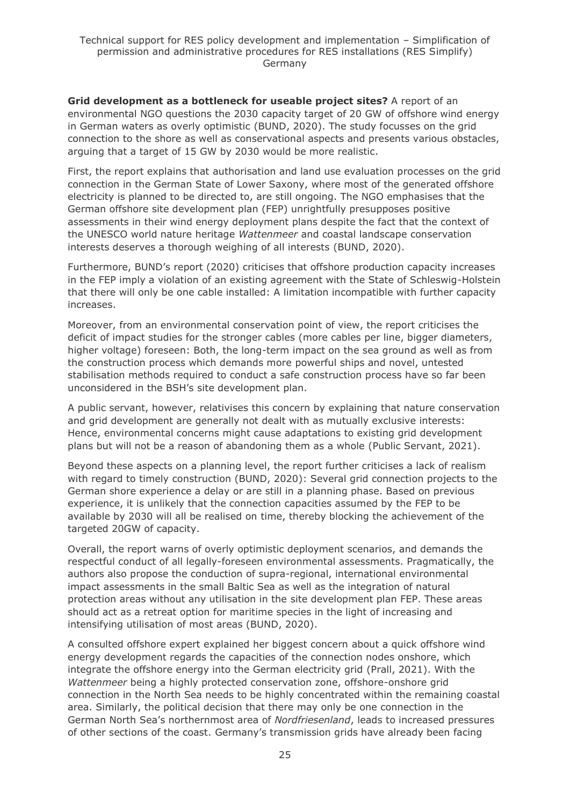**Grid development as a bottleneck for useable project sites?** A report of an environmental NGO questions the 2030 capacity target of 20 GW of offshore wind energy in German waters as overly optimistic (BUND, 2020). The study focusses on the grid connection to the shore as well as conservational aspects and presents various obstacles, arguing that a target of 15 GW by 2030 would be more realistic.

First, the report explains that authorisation and land use evaluation processes on the grid connection in the German State of Lower Saxony, where most of the generated offshore electricity is planned to be directed to, are still ongoing. The NGO emphasises that the German offshore site development plan (FEP) unrightfully presupposes positive assessments in their wind energy deployment plans despite the fact that the context of the UNESCO world nature heritage *Wattenmeer* and coastal landscape conservation interests deserves a thorough weighing of all interests (BUND, 2020).

Furthermore, BUND's report (2020) criticises that offshore production capacity increases in the FEP imply a violation of an existing agreement with the State of Schleswig-Holstein that there will only be one cable installed: A limitation incompatible with further capacity increases.

Moreover, from an environmental conservation point of view, the report criticises the deficit of impact studies for the stronger cables (more cables per line, bigger diameters, higher voltage) foreseen: Both, the long-term impact on the sea ground as well as from the construction process which demands more powerful ships and novel, untested stabilisation methods required to conduct a safe construction process have so far been unconsidered in the BSH's site development plan.

A public servant, however, relativises this concern by explaining that nature conservation and grid development are generally not dealt with as mutually exclusive interests: Hence, environmental concerns might cause adaptations to existing grid development plans but will not be a reason of abandoning them as a whole (Public Servant, 2021).

Beyond these aspects on a planning level, the report further criticises a lack of realism with regard to timely construction (BUND, 2020): Several grid connection projects to the German shore experience a delay or are still in a planning phase. Based on previous experience, it is unlikely that the connection capacities assumed by the FEP to be available by 2030 will all be realised on time, thereby blocking the achievement of the targeted 20GW of capacity.

Overall, the report warns of overly optimistic deployment scenarios, and demands the respectful conduct of all legally-foreseen environmental assessments. Pragmatically, the authors also propose the conduction of supra-regional, international environmental impact assessments in the small Baltic Sea as well as the integration of natural protection areas without any utilisation in the site development plan FEP. These areas should act as a retreat option for maritime species in the light of increasing and intensifying utilisation of most areas (BUND, 2020).

A consulted offshore expert explained her biggest concern about a quick offshore wind energy development regards the capacities of the connection nodes onshore, which integrate the offshore energy into the German electricity grid (Prall, 2021). With the *Wattenmeer* being a highly protected conservation zone, offshore-onshore grid connection in the North Sea needs to be highly concentrated within the remaining coastal area. Similarly, the political decision that there may only be one connection in the German North Sea's northernmost area of *Nordfriesenland*, leads to increased pressures of other sections of the coast. Germany's transmission grids have already been facing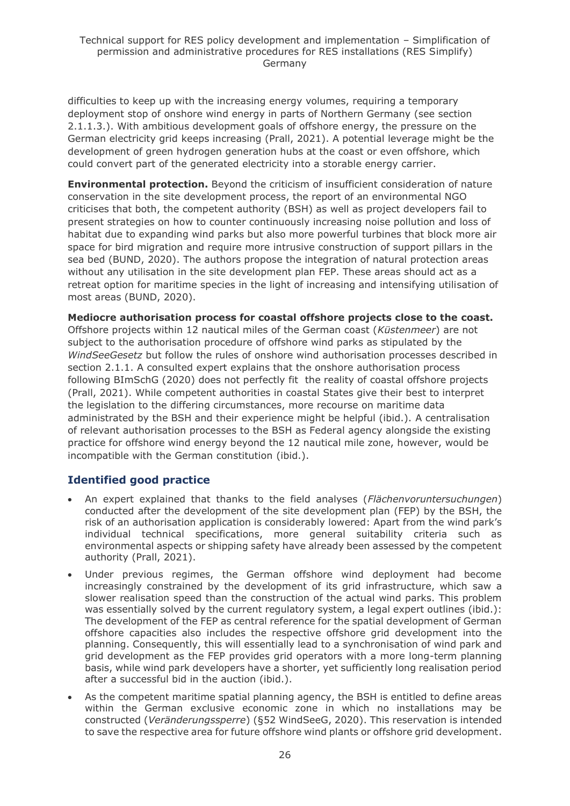difficulties to keep up with the increasing energy volumes, requiring a temporary deployment stop of onshore wind energy in parts of Northern Germany (see section 2.1.1.3.). With ambitious development goals of offshore energy, the pressure on the German electricity grid keeps increasing (Prall, 2021). A potential leverage might be the development of green hydrogen generation hubs at the coast or even offshore, which could convert part of the generated electricity into a storable energy carrier.

**Environmental protection.** Beyond the criticism of insufficient consideration of nature conservation in the site development process, the report of an environmental NGO criticises that both, the competent authority (BSH) as well as project developers fail to present strategies on how to counter continuously increasing noise pollution and loss of habitat due to expanding wind parks but also more powerful turbines that block more air space for bird migration and require more intrusive construction of support pillars in the sea bed (BUND, 2020). The authors propose the integration of natural protection areas without any utilisation in the site development plan FEP. These areas should act as a retreat option for maritime species in the light of increasing and intensifying utilisation of most areas (BUND, 2020).

**Mediocre authorisation process for coastal offshore projects close to the coast.**  Offshore projects within 12 nautical miles of the German coast (*Küstenmeer*) are not subject to the authorisation procedure of offshore wind parks as stipulated by the *WindSeeGesetz* but follow the rules of onshore wind authorisation processes described in section 2.1.1. A consulted expert explains that the onshore authorisation process following BImSchG (2020) does not perfectly fit the reality of coastal offshore projects (Prall, 2021). While competent authorities in coastal States give their best to interpret the legislation to the differing circumstances, more recourse on maritime data administrated by the BSH and their experience might be helpful (ibid.). A centralisation of relevant authorisation processes to the BSH as Federal agency alongside the existing practice for offshore wind energy beyond the 12 nautical mile zone, however, would be incompatible with the German constitution (ibid.).

### **Identified good practice**

- An expert explained that thanks to the field analyses (*Flächenvoruntersuchungen*) conducted after the development of the site development plan (FEP) by the BSH, the risk of an authorisation application is considerably lowered: Apart from the wind park's individual technical specifications, more general suitability criteria such as environmental aspects or shipping safety have already been assessed by the competent authority (Prall, 2021).
- Under previous regimes, the German offshore wind deployment had become increasingly constrained by the development of its grid infrastructure, which saw a slower realisation speed than the construction of the actual wind parks. This problem was essentially solved by the current regulatory system, a legal expert outlines (ibid.): The development of the FEP as central reference for the spatial development of German offshore capacities also includes the respective offshore grid development into the planning. Consequently, this will essentially lead to a synchronisation of wind park and grid development as the FEP provides grid operators with a more long-term planning basis, while wind park developers have a shorter, yet sufficiently long realisation period after a successful bid in the auction (ibid.).
- As the competent maritime spatial planning agency, the BSH is entitled to define areas within the German exclusive economic zone in which no installations may be constructed (*Veränderungssperre*) (§52 WindSeeG, 2020). This reservation is intended to save the respective area for future offshore wind plants or offshore grid development.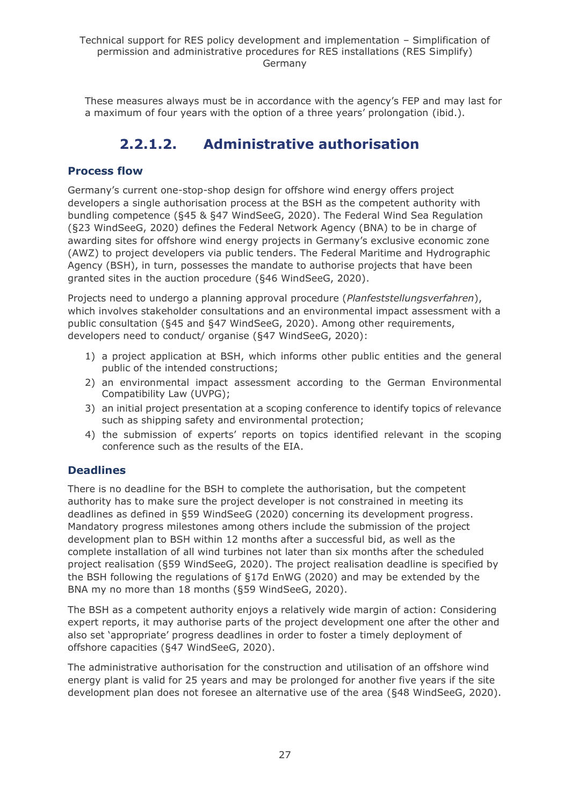<span id="page-26-0"></span>These measures always must be in accordance with the agency's FEP and may last for a maximum of four years with the option of a three years' prolongation (ibid.).

# **2.2.1.2. Administrative authorisation**

### **Process flow**

Germany's current one-stop-shop design for offshore wind energy offers project developers a single authorisation process at the BSH as the competent authority with bundling competence (§45 & §47 WindSeeG, 2020). The Federal Wind Sea Regulation (§23 WindSeeG, 2020) defines the Federal Network Agency (BNA) to be in charge of awarding sites for offshore wind energy projects in Germany's exclusive economic zone (AWZ) to project developers via public tenders. The Federal Maritime and Hydrographic Agency (BSH), in turn, possesses the mandate to authorise projects that have been granted sites in the auction procedure (§46 WindSeeG, 2020).

Projects need to undergo a planning approval procedure (*Planfeststellungsverfahren*), which involves stakeholder consultations and an environmental impact assessment with a public consultation (§45 and §47 WindSeeG, 2020). Among other requirements, developers need to conduct/ organise (§47 WindSeeG, 2020):

- 1) a project application at BSH, which informs other public entities and the general public of the intended constructions;
- 2) an environmental impact assessment according to the German Environmental Compatibility Law (UVPG);
- 3) an initial project presentation at a scoping conference to identify topics of relevance such as shipping safety and environmental protection;
- 4) the submission of experts' reports on topics identified relevant in the scoping conference such as the results of the EIA.

### **Deadlines**

There is no deadline for the BSH to complete the authorisation, but the competent authority has to make sure the project developer is not constrained in meeting its deadlines as defined in §59 WindSeeG (2020) concerning its development progress. Mandatory progress milestones among others include the submission of the project development plan to BSH within 12 months after a successful bid, as well as the complete installation of all wind turbines not later than six months after the scheduled project realisation (§59 WindSeeG, 2020). The project realisation deadline is specified by the BSH following the regulations of §17d EnWG (2020) and may be extended by the BNA my no more than 18 months (§59 WindSeeG, 2020).

The BSH as a competent authority enjoys a relatively wide margin of action: Considering expert reports, it may authorise parts of the project development one after the other and also set 'appropriate' progress deadlines in order to foster a timely deployment of offshore capacities (§47 WindSeeG, 2020).

The administrative authorisation for the construction and utilisation of an offshore wind energy plant is valid for 25 years and may be prolonged for another five years if the site development plan does not foresee an alternative use of the area (§48 WindSeeG, 2020).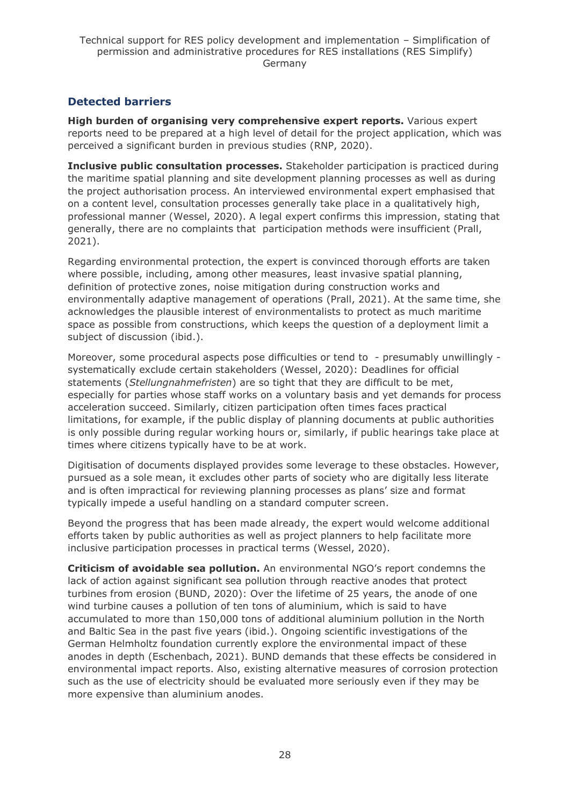### **Detected barriers**

**High burden of organising very comprehensive expert reports.** Various expert reports need to be prepared at a high level of detail for the project application, which was perceived a significant burden in previous studies (RNP, 2020).

**Inclusive public consultation processes.** Stakeholder participation is practiced during the maritime spatial planning and site development planning processes as well as during the project authorisation process. An interviewed environmental expert emphasised that on a content level, consultation processes generally take place in a qualitatively high, professional manner (Wessel, 2020). A legal expert confirms this impression, stating that generally, there are no complaints that participation methods were insufficient (Prall, 2021).

Regarding environmental protection, the expert is convinced thorough efforts are taken where possible, including, among other measures, least invasive spatial planning, definition of protective zones, noise mitigation during construction works and environmentally adaptive management of operations (Prall, 2021). At the same time, she acknowledges the plausible interest of environmentalists to protect as much maritime space as possible from constructions, which keeps the question of a deployment limit a subject of discussion (ibid.).

Moreover, some procedural aspects pose difficulties or tend to - presumably unwillingly systematically exclude certain stakeholders (Wessel, 2020): Deadlines for official statements (*Stellungnahmefristen*) are so tight that they are difficult to be met, especially for parties whose staff works on a voluntary basis and yet demands for process acceleration succeed. Similarly, citizen participation often times faces practical limitations, for example, if the public display of planning documents at public authorities is only possible during regular working hours or, similarly, if public hearings take place at times where citizens typically have to be at work.

Digitisation of documents displayed provides some leverage to these obstacles. However, pursued as a sole mean, it excludes other parts of society who are digitally less literate and is often impractical for reviewing planning processes as plans' size and format typically impede a useful handling on a standard computer screen.

Beyond the progress that has been made already, the expert would welcome additional efforts taken by public authorities as well as project planners to help facilitate more inclusive participation processes in practical terms (Wessel, 2020).

**Criticism of avoidable sea pollution.** An environmental NGO's report condemns the lack of action against significant sea pollution through reactive anodes that protect turbines from erosion (BUND, 2020): Over the lifetime of 25 years, the anode of one wind turbine causes a pollution of ten tons of aluminium, which is said to have accumulated to more than 150,000 tons of additional aluminium pollution in the North and Baltic Sea in the past five years (ibid.). Ongoing scientific investigations of the German Helmholtz foundation currently explore the environmental impact of these anodes in depth (Eschenbach, 2021). BUND demands that these effects be considered in environmental impact reports. Also, existing alternative measures of corrosion protection such as the use of electricity should be evaluated more seriously even if they may be more expensive than aluminium anodes.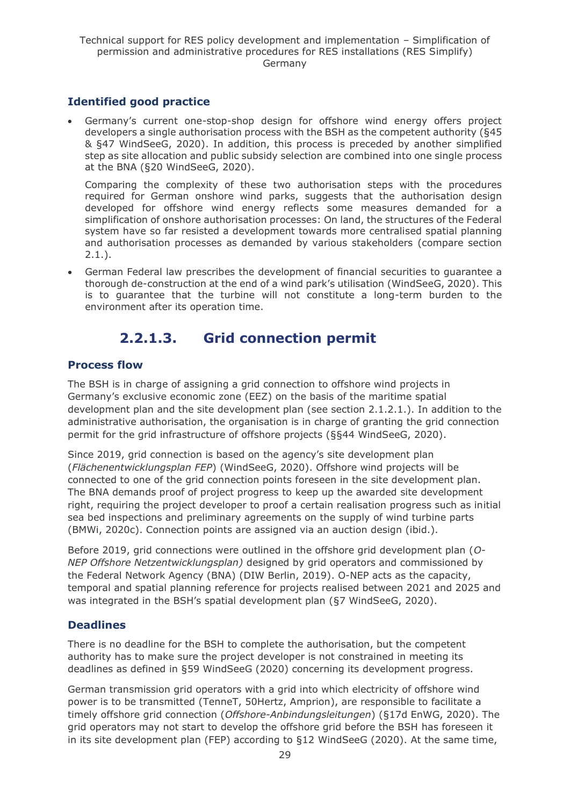### **Identified good practice**

• Germany's current one-stop-shop design for offshore wind energy offers project developers a single authorisation process with the BSH as the competent authority (§45 & §47 WindSeeG, 2020). In addition, this process is preceded by another simplified step as site allocation and public subsidy selection are combined into one single process at the BNA (§20 WindSeeG, 2020).

Comparing the complexity of these two authorisation steps with the procedures required for German onshore wind parks, suggests that the authorisation design developed for offshore wind energy reflects some measures demanded for a simplification of onshore authorisation processes: On land, the structures of the Federal system have so far resisted a development towards more centralised spatial planning and authorisation processes as demanded by various stakeholders (compare section  $2.1.$ ).

• German Federal law prescribes the development of financial securities to guarantee a thorough de-construction at the end of a wind park's utilisation (WindSeeG, 2020). This is to guarantee that the turbine will not constitute a long-term burden to the environment after its operation time.

# **2.2.1.3. Grid connection permit**

### <span id="page-28-0"></span>**Process flow**

The BSH is in charge of assigning a grid connection to offshore wind projects in Germany's exclusive economic zone (EEZ) on the basis of the maritime spatial development plan and the site development plan (see section 2.1.2.1.). In addition to the administrative authorisation, the organisation is in charge of granting the grid connection permit for the grid infrastructure of offshore projects (§§44 WindSeeG, 2020).

Since 2019, grid connection is based on the agency's site development plan (*Flächenentwicklungsplan FEP*) (WindSeeG, 2020). Offshore wind projects will be connected to one of the grid connection points foreseen in the site development plan. The BNA demands proof of project progress to keep up the awarded site development right, requiring the project developer to proof a certain realisation progress such as initial sea bed inspections and preliminary agreements on the supply of wind turbine parts (BMWi, 2020c). Connection points are assigned via an auction design (ibid.).

Before 2019, grid connections were outlined in the offshore grid development plan (*O-NEP Offshore Netzentwicklungsplan)* designed by grid operators and commissioned by the Federal Network Agency (BNA) (DIW Berlin, 2019). O-NEP acts as the capacity, temporal and spatial planning reference for projects realised between 2021 and 2025 and was integrated in the BSH's spatial development plan (§7 WindSeeG, 2020).

### **Deadlines**

There is no deadline for the BSH to complete the authorisation, but the competent authority has to make sure the project developer is not constrained in meeting its deadlines as defined in §59 WindSeeG (2020) concerning its development progress.

German transmission grid operators with a grid into which electricity of offshore wind power is to be transmitted (TenneT, 50Hertz, Amprion), are responsible to facilitate a timely offshore grid connection (*Offshore-Anbindungsleitungen*) (§17d EnWG, 2020). The grid operators may not start to develop the offshore grid before the BSH has foreseen it in its site development plan (FEP) according to §12 WindSeeG (2020). At the same time,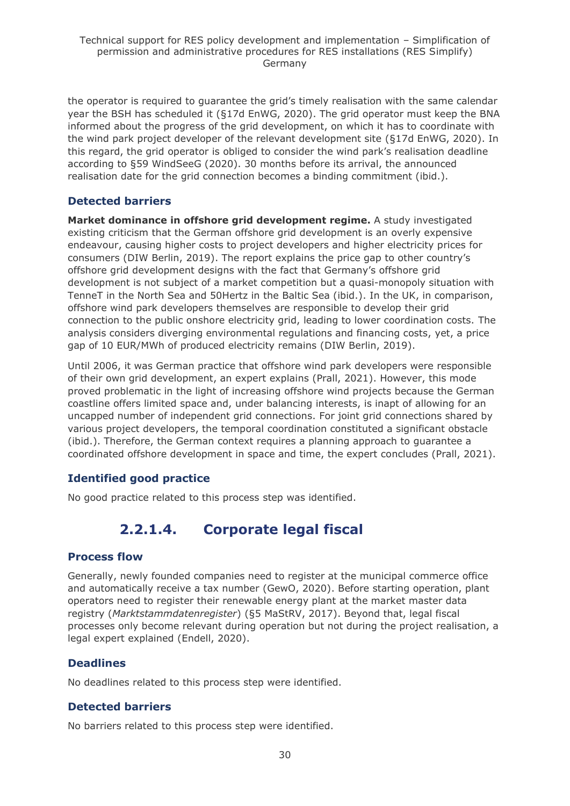the operator is required to guarantee the grid's timely realisation with the same calendar year the BSH has scheduled it (§17d EnWG, 2020). The grid operator must keep the BNA informed about the progress of the grid development, on which it has to coordinate with the wind park project developer of the relevant development site (§17d EnWG, 2020). In this regard, the grid operator is obliged to consider the wind park's realisation deadline according to §59 WindSeeG (2020). 30 months before its arrival, the announced realisation date for the grid connection becomes a binding commitment (ibid.).

### **Detected barriers**

**Market dominance in offshore grid development regime.** A study investigated existing criticism that the German offshore grid development is an overly expensive endeavour, causing higher costs to project developers and higher electricity prices for consumers (DIW Berlin, 2019). The report explains the price gap to other country's offshore grid development designs with the fact that Germany's offshore grid development is not subject of a market competition but a quasi-monopoly situation with TenneT in the North Sea and 50Hertz in the Baltic Sea (ibid.). In the UK, in comparison, offshore wind park developers themselves are responsible to develop their grid connection to the public onshore electricity grid, leading to lower coordination costs. The analysis considers diverging environmental regulations and financing costs, yet, a price gap of 10 EUR/MWh of produced electricity remains (DIW Berlin, 2019).

Until 2006, it was German practice that offshore wind park developers were responsible of their own grid development, an expert explains (Prall, 2021). However, this mode proved problematic in the light of increasing offshore wind projects because the German coastline offers limited space and, under balancing interests, is inapt of allowing for an uncapped number of independent grid connections. For joint grid connections shared by various project developers, the temporal coordination constituted a significant obstacle (ibid.). Therefore, the German context requires a planning approach to guarantee a coordinated offshore development in space and time, the expert concludes (Prall, 2021).

### **Identified good practice**

<span id="page-29-0"></span>No good practice related to this process step was identified.

# **2.2.1.4. Corporate legal fiscal**

### **Process flow**

Generally, newly founded companies need to register at the municipal commerce office and automatically receive a tax number (GewO, 2020). Before starting operation, plant operators need to register their renewable energy plant at the market master data registry (*Marktstammdatenregister*) (§5 MaStRV, 2017). Beyond that, legal fiscal processes only become relevant during operation but not during the project realisation, a legal expert explained (Endell, 2020).

### **Deadlines**

No deadlines related to this process step were identified.

### **Detected barriers**

No barriers related to this process step were identified.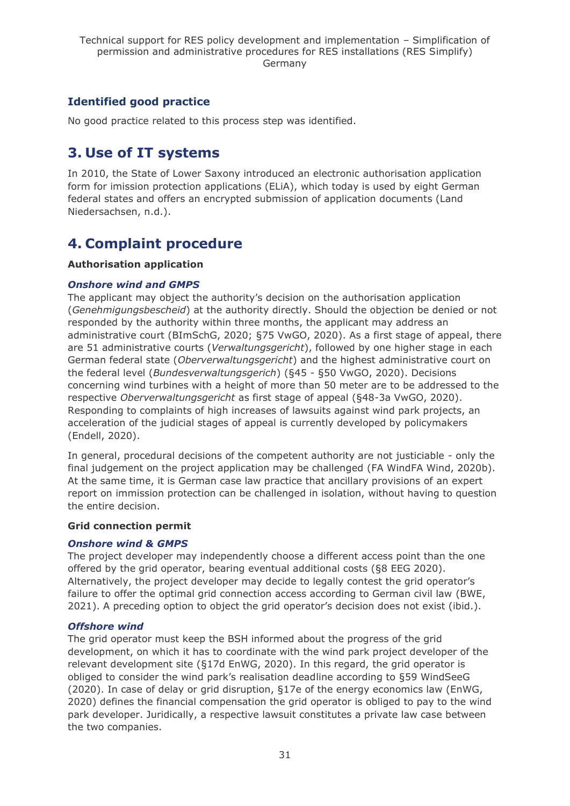### **Identified good practice**

No good practice related to this process step was identified.

# <span id="page-30-0"></span>**3. Use of IT systems**

In 2010, the State of Lower Saxony introduced an electronic authorisation application form for imission protection applications (ELiA), which today is used by eight German federal states and offers an encrypted submission of application documents (Land Niedersachsen, n.d.).

# <span id="page-30-1"></span>**4. Complaint procedure**

#### **Authorisation application**

#### *Onshore wind and GMPS*

The applicant may object the authority's decision on the authorisation application (*Genehmigungsbescheid*) at the authority directly. Should the objection be denied or not responded by the authority within three months, the applicant may address an administrative court (BImSchG, 2020; §75 VwGO, 2020). As a first stage of appeal, there are 51 administrative courts (*Verwaltungsgericht*), followed by one higher stage in each German federal state (*Oberverwaltungsgericht*) and the highest administrative court on the federal level (*Bundesverwaltungsgerich*) (§45 - §50 VwGO, 2020). Decisions concerning wind turbines with a height of more than 50 meter are to be addressed to the respective *Oberverwaltungsgericht* as first stage of appeal (§48-3a VwGO, 2020). Responding to complaints of high increases of lawsuits against wind park projects, an acceleration of the judicial stages of appeal is currently developed by policymakers (Endell, 2020).

In general, procedural decisions of the competent authority are not justiciable - only the final judgement on the project application may be challenged (FA WindFA Wind, 2020b). At the same time, it is German case law practice that ancillary provisions of an expert report on immission protection can be challenged in isolation, without having to question the entire decision.

#### **Grid connection permit**

#### *Onshore wind & GMPS*

The project developer may independently choose a different access point than the one offered by the grid operator, bearing eventual additional costs (§8 EEG 2020). Alternatively, the project developer may decide to legally contest the grid operator's failure to offer the optimal grid connection access according to German civil law (BWE, 2021). A preceding option to object the grid operator's decision does not exist (ibid.).

#### *Offshore wind*

The grid operator must keep the BSH informed about the progress of the grid development, on which it has to coordinate with the wind park project developer of the relevant development site (§17d EnWG, 2020). In this regard, the grid operator is obliged to consider the wind park's realisation deadline according to §59 WindSeeG (2020). In case of delay or grid disruption, §17e of the energy economics law (EnWG, 2020) defines the financial compensation the grid operator is obliged to pay to the wind park developer. Juridically, a respective lawsuit constitutes a private law case between the two companies.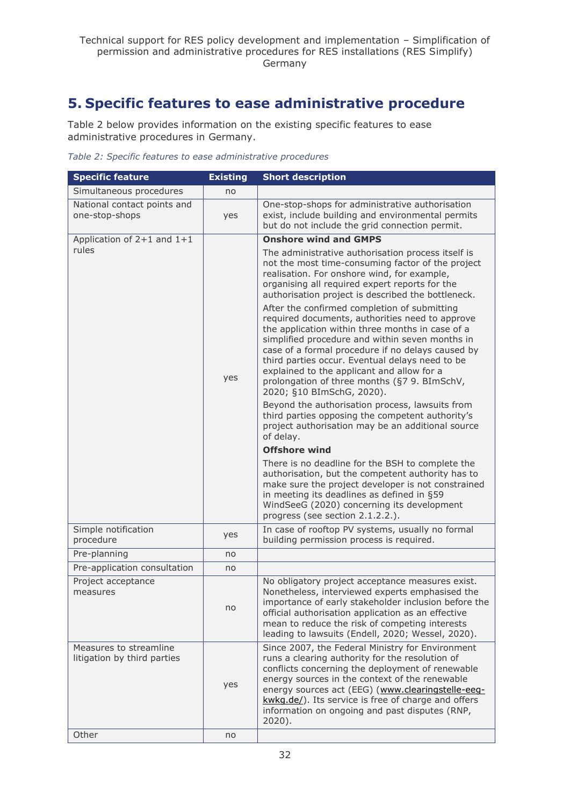# <span id="page-31-0"></span>**5. Specific features to ease administrative procedure**

Table 2 below provides information on the existing specific features to ease administrative procedures in Germany.

*Table 2: Specific features to ease administrative procedures*

| <b>Specific feature</b>                               | <b>Existing</b> | <b>Short description</b>                                                                                                                                                                                                                                                                                                                                                                                                                  |
|-------------------------------------------------------|-----------------|-------------------------------------------------------------------------------------------------------------------------------------------------------------------------------------------------------------------------------------------------------------------------------------------------------------------------------------------------------------------------------------------------------------------------------------------|
| Simultaneous procedures                               | no              |                                                                                                                                                                                                                                                                                                                                                                                                                                           |
| National contact points and<br>one-stop-shops         | yes             | One-stop-shops for administrative authorisation<br>exist, include building and environmental permits<br>but do not include the grid connection permit.                                                                                                                                                                                                                                                                                    |
| Application of 2+1 and 1+1                            |                 | <b>Onshore wind and GMPS</b>                                                                                                                                                                                                                                                                                                                                                                                                              |
| rules                                                 |                 | The administrative authorisation process itself is<br>not the most time-consuming factor of the project<br>realisation. For onshore wind, for example,<br>organising all required expert reports for the<br>authorisation project is described the bottleneck.                                                                                                                                                                            |
|                                                       | yes             | After the confirmed completion of submitting<br>required documents, authorities need to approve<br>the application within three months in case of a<br>simplified procedure and within seven months in<br>case of a formal procedure if no delays caused by<br>third parties occur. Eventual delays need to be<br>explained to the applicant and allow for a<br>prolongation of three months (§7 9. BImSchV,<br>2020; §10 BImSchG, 2020). |
|                                                       |                 | Beyond the authorisation process, lawsuits from<br>third parties opposing the competent authority's<br>project authorisation may be an additional source<br>of delay.                                                                                                                                                                                                                                                                     |
|                                                       |                 | <b>Offshore wind</b>                                                                                                                                                                                                                                                                                                                                                                                                                      |
|                                                       |                 | There is no deadline for the BSH to complete the<br>authorisation, but the competent authority has to<br>make sure the project developer is not constrained<br>in meeting its deadlines as defined in §59<br>WindSeeG (2020) concerning its development<br>progress (see section 2.1.2.2.).                                                                                                                                               |
| Simple notification<br>procedure                      | yes             | In case of rooftop PV systems, usually no formal<br>building permission process is required.                                                                                                                                                                                                                                                                                                                                              |
| Pre-planning                                          | no              |                                                                                                                                                                                                                                                                                                                                                                                                                                           |
| Pre-application consultation                          | no              |                                                                                                                                                                                                                                                                                                                                                                                                                                           |
| Project acceptance<br>measures                        | no              | No obligatory project acceptance measures exist.<br>Nonetheless, interviewed experts emphasised the<br>importance of early stakeholder inclusion before the<br>official authorisation application as an effective<br>mean to reduce the risk of competing interests<br>leading to lawsuits (Endell, 2020; Wessel, 2020).                                                                                                                  |
| Measures to streamline<br>litigation by third parties | yes             | Since 2007, the Federal Ministry for Environment<br>runs a clearing authority for the resolution of<br>conflicts concerning the deployment of renewable<br>energy sources in the context of the renewable<br>energy sources act (EEG) (www.clearingstelle-eeg-<br>kwkg.de/). Its service is free of charge and offers<br>information on ongoing and past disputes (RNP,<br>$2020$ ).                                                      |
| Other                                                 | no              |                                                                                                                                                                                                                                                                                                                                                                                                                                           |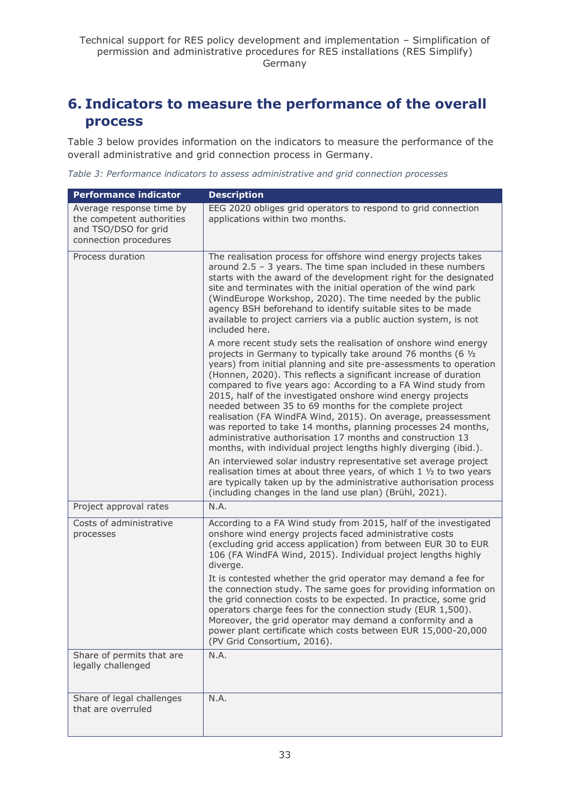# <span id="page-32-0"></span>**6. Indicators to measure the performance of the overall process**

Table 3 below provides information on the indicators to measure the performance of the overall administrative and grid connection process in Germany.

*Table 3: Performance indicators to assess administrative and grid connection processes*

| <b>Performance indicator</b>                                                                           | <b>Description</b>                                                                                                                                                                                                                                                                                                                                                                                                                                                                                                                                                                                                                                                                                                                         |
|--------------------------------------------------------------------------------------------------------|--------------------------------------------------------------------------------------------------------------------------------------------------------------------------------------------------------------------------------------------------------------------------------------------------------------------------------------------------------------------------------------------------------------------------------------------------------------------------------------------------------------------------------------------------------------------------------------------------------------------------------------------------------------------------------------------------------------------------------------------|
| Average response time by<br>the competent authorities<br>and TSO/DSO for grid<br>connection procedures | EEG 2020 obliges grid operators to respond to grid connection<br>applications within two months.                                                                                                                                                                                                                                                                                                                                                                                                                                                                                                                                                                                                                                           |
| Process duration                                                                                       | The realisation process for offshore wind energy projects takes<br>around $2.5 - 3$ years. The time span included in these numbers<br>starts with the award of the development right for the designated<br>site and terminates with the initial operation of the wind park<br>(WindEurope Workshop, 2020). The time needed by the public<br>agency BSH beforehand to identify suitable sites to be made<br>available to project carriers via a public auction system, is not<br>included here.                                                                                                                                                                                                                                             |
|                                                                                                        | A more recent study sets the realisation of onshore wind energy<br>projects in Germany to typically take around 76 months (6 1/2<br>years) from initial planning and site pre-assessments to operation<br>(Honnen, 2020). This reflects a significant increase of duration<br>compared to five years ago: According to a FA Wind study from<br>2015, half of the investigated onshore wind energy projects<br>needed between 35 to 69 months for the complete project<br>realisation (FA WindFA Wind, 2015). On average, preassessment<br>was reported to take 14 months, planning processes 24 months,<br>administrative authorisation 17 months and construction 13<br>months, with individual project lengths highly diverging (ibid.). |
|                                                                                                        | An interviewed solar industry representative set average project<br>realisation times at about three years, of which 1 1/2 to two years<br>are typically taken up by the administrative authorisation process<br>(including changes in the land use plan) (Brühl, 2021).                                                                                                                                                                                                                                                                                                                                                                                                                                                                   |
| Project approval rates                                                                                 | N.A.                                                                                                                                                                                                                                                                                                                                                                                                                                                                                                                                                                                                                                                                                                                                       |
| Costs of administrative<br>processes                                                                   | According to a FA Wind study from 2015, half of the investigated<br>onshore wind energy projects faced administrative costs<br>(excluding grid access application) from between EUR 30 to EUR<br>106 (FA WindFA Wind, 2015). Individual project lengths highly<br>diverge.<br>It is contested whether the grid operator may demand a fee for<br>the connection study. The same goes for providing information on<br>the grid connection costs to be expected. In practice, some grid<br>operators charge fees for the connection study (EUR 1,500).<br>Moreover, the grid operator may demand a conformity and a<br>power plant certificate which costs between EUR 15,000-20,000<br>(PV Grid Consortium, 2016).                           |
| Share of permits that are<br>legally challenged                                                        | N.A.                                                                                                                                                                                                                                                                                                                                                                                                                                                                                                                                                                                                                                                                                                                                       |
| Share of legal challenges<br>that are overruled                                                        | N.A.                                                                                                                                                                                                                                                                                                                                                                                                                                                                                                                                                                                                                                                                                                                                       |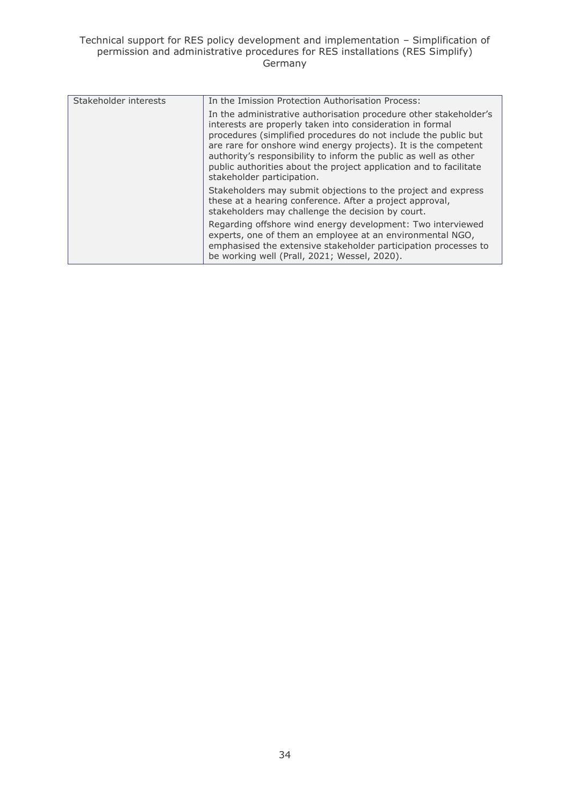#### Technical support for RES policy development and implementation – Simplification of permission and administrative procedures for RES installations (RES Simplify) Germany

| Stakeholder interests | In the Imission Protection Authorisation Process:                                                                                                                                                                                                                                                                                                                                                                                            |
|-----------------------|----------------------------------------------------------------------------------------------------------------------------------------------------------------------------------------------------------------------------------------------------------------------------------------------------------------------------------------------------------------------------------------------------------------------------------------------|
|                       | In the administrative authorisation procedure other stakeholder's<br>interests are properly taken into consideration in formal<br>procedures (simplified procedures do not include the public but<br>are rare for onshore wind energy projects). It is the competent<br>authority's responsibility to inform the public as well as other<br>public authorities about the project application and to facilitate<br>stakeholder participation. |
|                       | Stakeholders may submit objections to the project and express<br>these at a hearing conference. After a project approval,<br>stakeholders may challenge the decision by court.                                                                                                                                                                                                                                                               |
|                       | Regarding offshore wind energy development: Two interviewed<br>experts, one of them an employee at an environmental NGO,<br>emphasised the extensive stakeholder participation processes to<br>be working well (Prall, 2021; Wessel, 2020).                                                                                                                                                                                                  |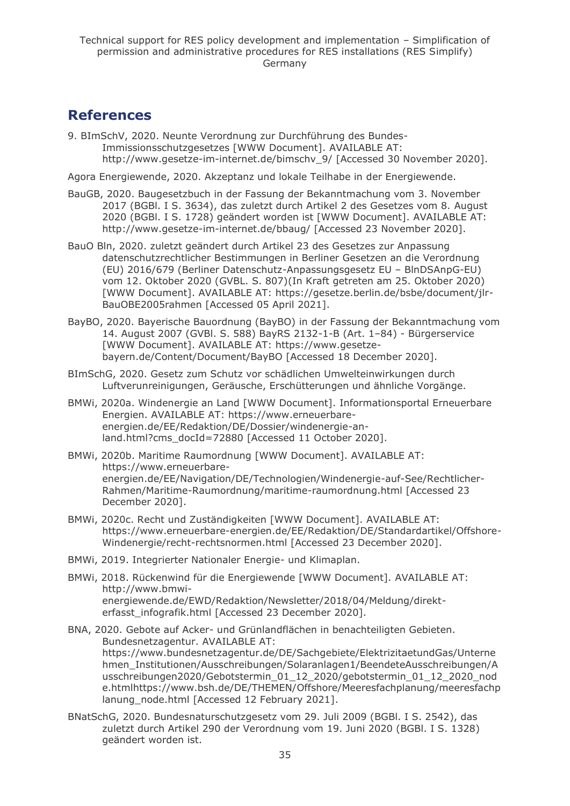## <span id="page-34-0"></span>**References**

9. BImSchV, 2020. Neunte Verordnung zur Durchführung des Bundes-Immissionsschutzgesetzes [WWW Document]. AVAILABLE AT: http://www.gesetze-im-internet.de/bimschv\_9/ [Accessed 30 November 2020].

Agora Energiewende, 2020. Akzeptanz und lokale Teilhabe in der Energiewende.

- BauGB, 2020. Baugesetzbuch in der Fassung der Bekanntmachung vom 3. November 2017 (BGBl. I S. 3634), das zuletzt durch Artikel 2 des Gesetzes vom 8. August 2020 (BGBl. I S. 1728) geändert worden ist [WWW Document]. AVAILABLE AT: http://www.gesetze-im-internet.de/bbaug/ [Accessed 23 November 2020].
- BauO Bln, 2020. zuletzt geändert durch Artikel 23 des Gesetzes zur Anpassung datenschutzrechtlicher Bestimmungen in Berliner Gesetzen an die Verordnung (EU) 2016/679 (Berliner Datenschutz-Anpassungsgesetz EU – BlnDSAnpG-EU) vom 12. Oktober 2020 (GVBL. S. 807)(In Kraft getreten am 25. Oktober 2020) [WWW Document]. AVAILABLE AT: https://gesetze.berlin.de/bsbe/document/jlr-BauOBE2005rahmen [Accessed 05 April 2021].
- BayBO, 2020. Bayerische Bauordnung (BayBO) in der Fassung der Bekanntmachung vom 14. August 2007 (GVBl. S. 588) BayRS 2132-1-B (Art. 1–84) - Bürgerservice [WWW Document]. AVAILABLE AT: https://www.gesetzebayern.de/Content/Document/BayBO [Accessed 18 December 2020].
- BImSchG, 2020. Gesetz zum Schutz vor schädlichen Umwelteinwirkungen durch Luftverunreinigungen, Geräusche, Erschütterungen und ähnliche Vorgänge.
- BMWi, 2020a. Windenergie an Land [WWW Document]. Informationsportal Erneuerbare Energien. AVAILABLE AT: https://www.erneuerbareenergien.de/EE/Redaktion/DE/Dossier/windenergie-anland.html?cms\_docId=72880 [Accessed 11 October 2020].
- BMWi, 2020b. Maritime Raumordnung [WWW Document]. AVAILABLE AT: https://www.erneuerbareenergien.de/EE/Navigation/DE/Technologien/Windenergie-auf-See/Rechtlicher-Rahmen/Maritime-Raumordnung/maritime-raumordnung.html [Accessed 23 December 2020].
- BMWi, 2020c. Recht und Zuständigkeiten [WWW Document]. AVAILABLE AT: https://www.erneuerbare-energien.de/EE/Redaktion/DE/Standardartikel/Offshore-Windenergie/recht-rechtsnormen.html [Accessed 23 December 2020].
- BMWi, 2019. Integrierter Nationaler Energie- und Klimaplan.
- BMWi, 2018. Rückenwind für die Energiewende [WWW Document]. AVAILABLE AT: http://www.bmwienergiewende.de/EWD/Redaktion/Newsletter/2018/04/Meldung/direkterfasst\_infografik.html [Accessed 23 December 2020].
- BNA, 2020. Gebote auf Acker- und Grünlandflächen in benachteiligten Gebieten. Bundesnetzagentur. AVAILABLE AT: https://www.bundesnetzagentur.de/DE/Sachgebiete/ElektrizitaetundGas/Unterne hmen\_Institutionen/Ausschreibungen/Solaranlagen1/BeendeteAusschreibungen/A usschreibungen2020/Gebotstermin\_01\_12\_2020/gebotstermin\_01\_12\_2020\_nod e.htmlhttps://www.bsh.de/DE/THEMEN/Offshore/Meeresfachplanung/meeresfachp lanung node.html [Accessed 12 February 2021].
- BNatSchG, 2020. Bundesnaturschutzgesetz vom 29. Juli 2009 (BGBl. I S. 2542), das zuletzt durch Artikel 290 der Verordnung vom 19. Juni 2020 (BGBl. I S. 1328) geändert worden ist.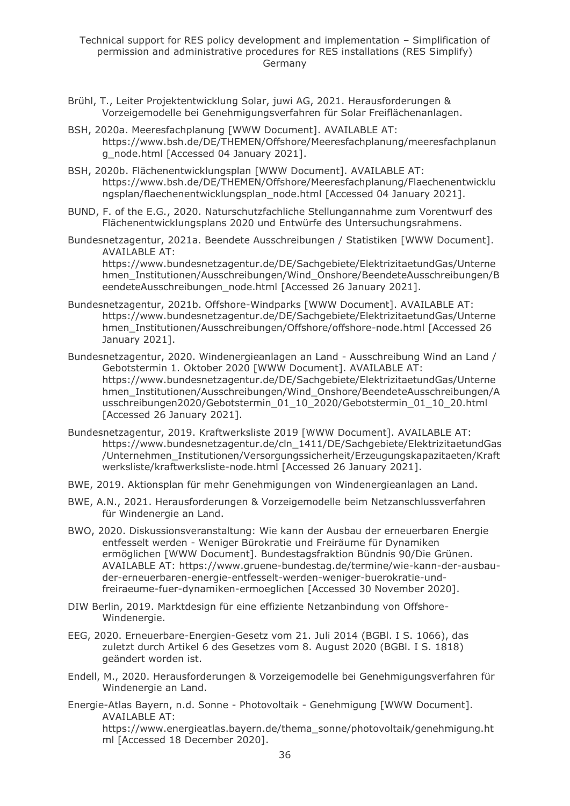- Brühl, T., Leiter Projektentwicklung Solar, juwi AG, 2021. Herausforderungen & Vorzeigemodelle bei Genehmigungsverfahren für Solar Freiflächenanlagen.
- BSH, 2020a. Meeresfachplanung [WWW Document]. AVAILABLE AT: https://www.bsh.de/DE/THEMEN/Offshore/Meeresfachplanung/meeresfachplanun g\_node.html [Accessed 04 January 2021].
- BSH, 2020b. Flächenentwicklungsplan [WWW Document]. AVAILABLE AT: https://www.bsh.de/DE/THEMEN/Offshore/Meeresfachplanung/Flaechenentwicklu ngsplan/flaechenentwicklungsplan\_node.html [Accessed 04 January 2021].
- BUND, F. of the E.G., 2020. Naturschutzfachliche Stellungannahme zum Vorentwurf des Flächenentwicklungsplans 2020 und Entwürfe des Untersuchungsrahmens.
- Bundesnetzagentur, 2021a. Beendete Ausschreibungen / Statistiken [WWW Document]. AVAILABLE AT: https://www.bundesnetzagentur.de/DE/Sachgebiete/ElektrizitaetundGas/Unterne

hmen\_Institutionen/Ausschreibungen/Wind\_Onshore/BeendeteAusschreibungen/B eendeteAusschreibungen\_node.html [Accessed 26 January 2021].

- Bundesnetzagentur, 2021b. Offshore-Windparks [WWW Document]. AVAILABLE AT: https://www.bundesnetzagentur.de/DE/Sachgebiete/ElektrizitaetundGas/Unterne hmen\_Institutionen/Ausschreibungen/Offshore/offshore-node.html [Accessed 26 January 2021].
- Bundesnetzagentur, 2020. Windenergieanlagen an Land Ausschreibung Wind an Land / Gebotstermin 1. Oktober 2020 [WWW Document]. AVAILABLE AT: https://www.bundesnetzagentur.de/DE/Sachgebiete/ElektrizitaetundGas/Unterne hmen\_Institutionen/Ausschreibungen/Wind\_Onshore/BeendeteAusschreibungen/A usschreibungen2020/Gebotstermin\_01\_10\_2020/Gebotstermin\_01\_10\_20.html [Accessed 26 January 2021].
- Bundesnetzagentur, 2019. Kraftwerksliste 2019 [WWW Document]. AVAILABLE AT: https://www.bundesnetzagentur.de/cln\_1411/DE/Sachgebiete/ElektrizitaetundGas /Unternehmen\_Institutionen/Versorgungssicherheit/Erzeugungskapazitaeten/Kraft werksliste/kraftwerksliste-node.html [Accessed 26 January 2021].
- BWE, 2019. Aktionsplan für mehr Genehmigungen von Windenergieanlagen an Land.
- BWE, A.N., 2021. Herausforderungen & Vorzeigemodelle beim Netzanschlussverfahren für Windenergie an Land.
- BWO, 2020. Diskussionsveranstaltung: Wie kann der Ausbau der erneuerbaren Energie entfesselt werden - Weniger Bürokratie und Freiräume für Dynamiken ermöglichen [WWW Document]. Bundestagsfraktion Bündnis 90/Die Grünen. AVAILABLE AT: https://www.gruene-bundestag.de/termine/wie-kann-der-ausbauder-erneuerbaren-energie-entfesselt-werden-weniger-buerokratie-undfreiraeume-fuer-dynamiken-ermoeglichen [Accessed 30 November 2020].
- DIW Berlin, 2019. Marktdesign für eine effiziente Netzanbindung von Offshore-Windenergie.
- EEG, 2020. Erneuerbare-Energien-Gesetz vom 21. Juli 2014 (BGBl. I S. 1066), das zuletzt durch Artikel 6 des Gesetzes vom 8. August 2020 (BGBl. I S. 1818) geändert worden ist.
- Endell, M., 2020. Herausforderungen & Vorzeigemodelle bei Genehmigungsverfahren für Windenergie an Land.
- Energie-Atlas Bayern, n.d. Sonne Photovoltaik Genehmigung [WWW Document]. AVAILABLE AT: https://www.energieatlas.bayern.de/thema\_sonne/photovoltaik/genehmigung.ht ml [Accessed 18 December 2020].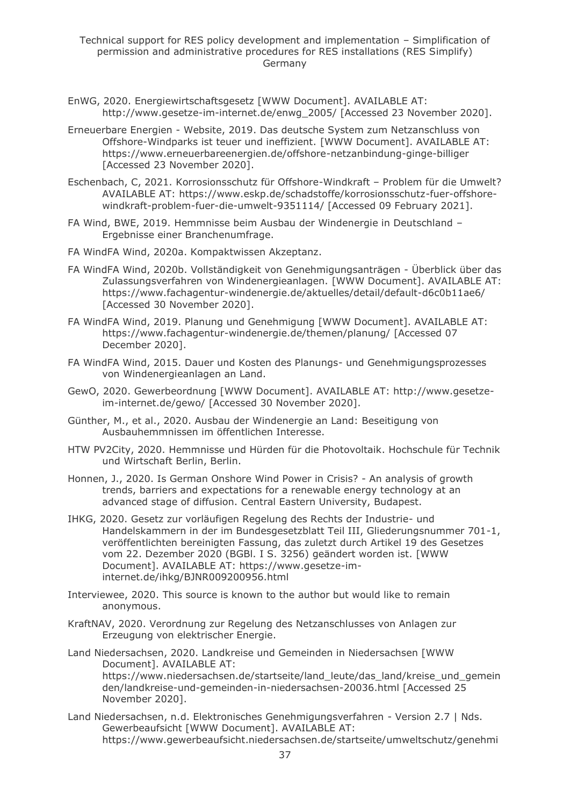- EnWG, 2020. Energiewirtschaftsgesetz [WWW Document]. AVAILABLE AT: http://www.gesetze-im-internet.de/enwg\_2005/ [Accessed 23 November 2020].
- Erneuerbare Energien Website, 2019. Das deutsche System zum Netzanschluss von Offshore-Windparks ist teuer und ineffizient. [WWW Document]. AVAILABLE AT: https://www.erneuerbareenergien.de/offshore-netzanbindung-ginge-billiger [Accessed 23 November 2020].
- Eschenbach, C, 2021. Korrosionsschutz für Offshore-Windkraft Problem für die Umwelt? AVAILABLE AT: https://www.eskp.de/schadstoffe/korrosionsschutz-fuer-offshorewindkraft-problem-fuer-die-umwelt-9351114/ [Accessed 09 February 2021].
- FA Wind, BWE, 2019. Hemmnisse beim Ausbau der Windenergie in Deutschland Ergebnisse einer Branchenumfrage.
- FA WindFA Wind, 2020a. Kompaktwissen Akzeptanz.
- FA WindFA Wind, 2020b. Vollständigkeit von Genehmigungsanträgen Überblick über das Zulassungsverfahren von Windenergieanlagen. [WWW Document]. AVAILABLE AT: https://www.fachagentur-windenergie.de/aktuelles/detail/default-d6c0b11ae6/ [Accessed 30 November 2020].
- FA WindFA Wind, 2019. Planung und Genehmigung [WWW Document]. AVAILABLE AT: https://www.fachagentur-windenergie.de/themen/planung/ [Accessed 07 December 2020].
- FA WindFA Wind, 2015. Dauer und Kosten des Planungs- und Genehmigungsprozesses von Windenergieanlagen an Land.
- GewO, 2020. Gewerbeordnung [WWW Document]. AVAILABLE AT: http://www.gesetzeim-internet.de/gewo/ [Accessed 30 November 2020].
- Günther, M., et al., 2020. Ausbau der Windenergie an Land: Beseitigung von Ausbauhemmnissen im öffentlichen Interesse.
- HTW PV2City, 2020. Hemmnisse und Hürden für die Photovoltaik. Hochschule für Technik und Wirtschaft Berlin, Berlin.
- Honnen, J., 2020. Is German Onshore Wind Power in Crisis? An analysis of growth trends, barriers and expectations for a renewable energy technology at an advanced stage of diffusion. Central Eastern University, Budapest.
- IHKG, 2020. Gesetz zur vorläufigen Regelung des Rechts der Industrie- und Handelskammern in der im Bundesgesetzblatt Teil III, Gliederungsnummer 701-1, veröffentlichten bereinigten Fassung, das zuletzt durch Artikel 19 des Gesetzes vom 22. Dezember 2020 (BGBl. I S. 3256) geändert worden ist. [WWW Document]. AVAILABLE AT: https://www.gesetze-iminternet.de/ihkg/BJNR009200956.html
- Interviewee, 2020. This source is known to the author but would like to remain anonymous.
- KraftNAV, 2020. Verordnung zur Regelung des Netzanschlusses von Anlagen zur Erzeugung von elektrischer Energie.
- Land Niedersachsen, 2020. Landkreise und Gemeinden in Niedersachsen [WWW Document]. AVAILABLE AT: https://www.niedersachsen.de/startseite/land\_leute/das\_land/kreise\_und\_gemein den/landkreise-und-gemeinden-in-niedersachsen-20036.html [Accessed 25 November 2020].
- Land Niedersachsen, n.d. Elektronisches Genehmigungsverfahren Version 2.7 | Nds. Gewerbeaufsicht [WWW Document]. AVAILABLE AT: https://www.gewerbeaufsicht.niedersachsen.de/startseite/umweltschutz/genehmi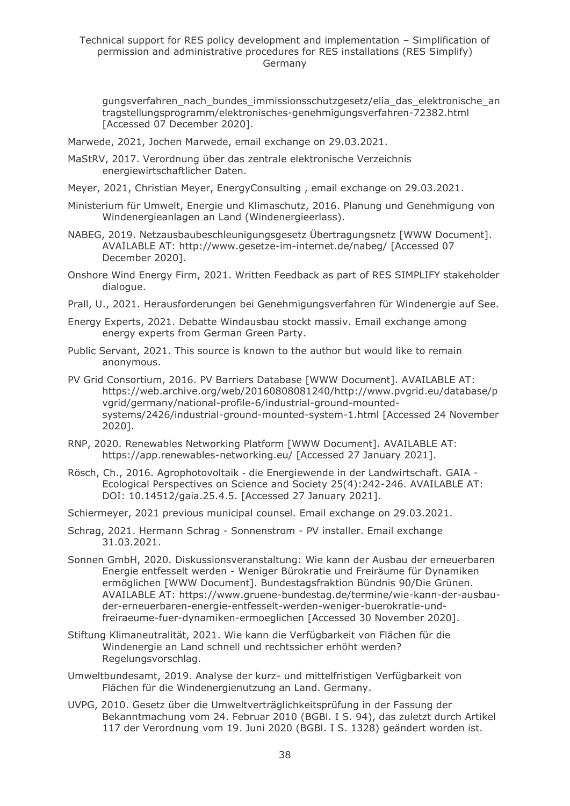#### Technical support for RES policy development and implementation – Simplification of permission and administrative procedures for RES installations (RES Simplify) Germany

gungsverfahren\_nach\_bundes\_immissionsschutzgesetz/elia\_das\_elektronische\_an tragstellungsprogramm/elektronisches-genehmigungsverfahren-72382.html [Accessed 07 December 2020].

- Marwede, 2021, Jochen Marwede, email exchange on 29.03.2021.
- MaStRV, 2017. Verordnung über das zentrale elektronische Verzeichnis energiewirtschaftlicher Daten.
- Meyer, 2021, Christian Meyer, EnergyConsulting , email exchange on 29.03.2021.
- Ministerium für Umwelt, Energie und Klimaschutz, 2016. Planung und Genehmigung von Windenergieanlagen an Land (Windenergieerlass).
- NABEG, 2019. Netzausbaubeschleunigungsgesetz Übertragungsnetz [WWW Document]. AVAILABLE AT: http://www.gesetze-im-internet.de/nabeg/ [Accessed 07 December 2020].
- Onshore Wind Energy Firm, 2021. Written Feedback as part of RES SIMPLIFY stakeholder dialogue.
- Prall, U., 2021. Herausforderungen bei Genehmigungsverfahren für Windenergie auf See.
- Energy Experts, 2021. Debatte Windausbau stockt massiv. Email exchange among energy experts from German Green Party.
- Public Servant, 2021. This source is known to the author but would like to remain anonymous.
- PV Grid Consortium, 2016. PV Barriers Database [WWW Document]. AVAILABLE AT: https://web.archive.org/web/20160808081240/http://www.pvgrid.eu/database/p vgrid/germany/national-profile-6/industrial-ground-mountedsystems/2426/industrial-ground-mounted-system-1.html [Accessed 24 November 2020].
- RNP, 2020. Renewables Networking Platform [WWW Document]. AVAILABLE AT: https://app.renewables-networking.eu/ [Accessed 27 January 2021].
- Rösch, Ch., 2016. Agrophotovoltaik ‐ die Energiewende in der Landwirtschaft. GAIA Ecological Perspectives on Science and Society 25(4):242-246. AVAILABLE AT: DOI: 10.14512/gaia.25.4.5. [Accessed 27 January 2021].
- Schiermeyer, 2021 previous municipal counsel. Email exchange on 29.03.2021.
- Schrag, 2021. Hermann Schrag Sonnenstrom PV installer. Email exchange 31.03.2021.
- Sonnen GmbH, 2020. Diskussionsveranstaltung: Wie kann der Ausbau der erneuerbaren Energie entfesselt werden - Weniger Bürokratie und Freiräume für Dynamiken ermöglichen [WWW Document]. Bundestagsfraktion Bündnis 90/Die Grünen. AVAILABLE AT: https://www.gruene-bundestag.de/termine/wie-kann-der-ausbauder-erneuerbaren-energie-entfesselt-werden-weniger-buerokratie-undfreiraeume-fuer-dynamiken-ermoeglichen [Accessed 30 November 2020].
- Stiftung Klimaneutralität, 2021. Wie kann die Verfügbarkeit von Flächen für die Windenergie an Land schnell und rechtssicher erhöht werden? Regelungsvorschlag.
- Umweltbundesamt, 2019. Analyse der kurz- und mittelfristigen Verfügbarkeit von Flächen für die Windenergienutzung an Land. Germany.
- UVPG, 2010. Gesetz über die Umweltverträglichkeitsprüfung in der Fassung der Bekanntmachung vom 24. Februar 2010 (BGBl. I S. 94), das zuletzt durch Artikel 117 der Verordnung vom 19. Juni 2020 (BGBl. I S. 1328) geändert worden ist.